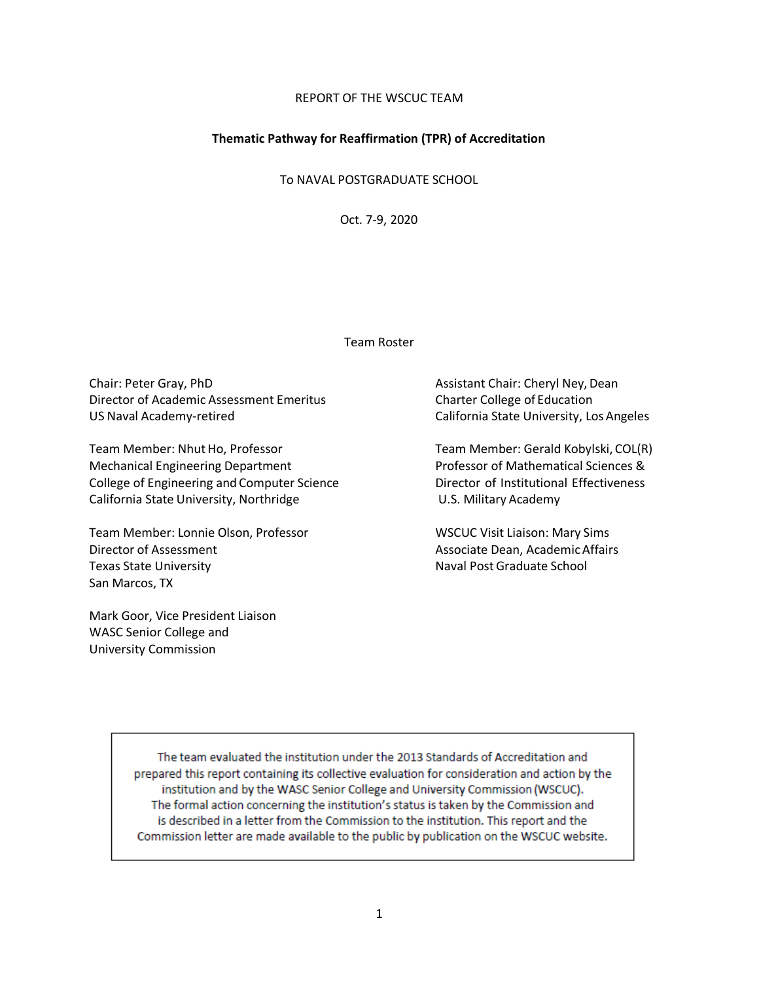### REPORT OF THE WSCUC TEAM

### **Thematic Pathway for Reaffirmation (TPR) of Accreditation**

To NAVAL POSTGRADUATE SCHOOL

Oct. 7-9, 2020

#### Team Roster

Chair: Peter Gray, PhD **Assistant Chair: Cheryl Ney, Dean** Director of Academic Assessment Emeritus Charter College of Education US Naval Academy-retired California State University, LosAngeles

Team Member: Nhut Ho, Professor Team Member: Gerald Kobylski, COL(R) Mechanical Engineering Department Professor of Mathematical Sciences & College of Engineering and Computer Science **Director of Institutional Effectiveness** California State University, Northridge **East California State U.S. Military Academy** 

Team Member: Lonnie Olson, Professor WSCUC Visit Liaison: Mary Sims Director of Assessment Associate Dean, Academic Affairs Associate Dean, Academic Affairs Texas State University Naval Post Graduate School San Marcos, TX

Mark Goor, Vice President Liaison WASC Senior College and University Commission

The team evaluated the institution under the 2013 Standards of Accreditation and prepared this report containing its collective evaluation for consideration and action by the institution and by the WASC Senior College and University Commission (WSCUC). The formal action concerning the institution's status is taken by the Commission and is described in a letter from the Commission to the institution. This report and the Commission letter are made available to the public by publication on the WSCUC website.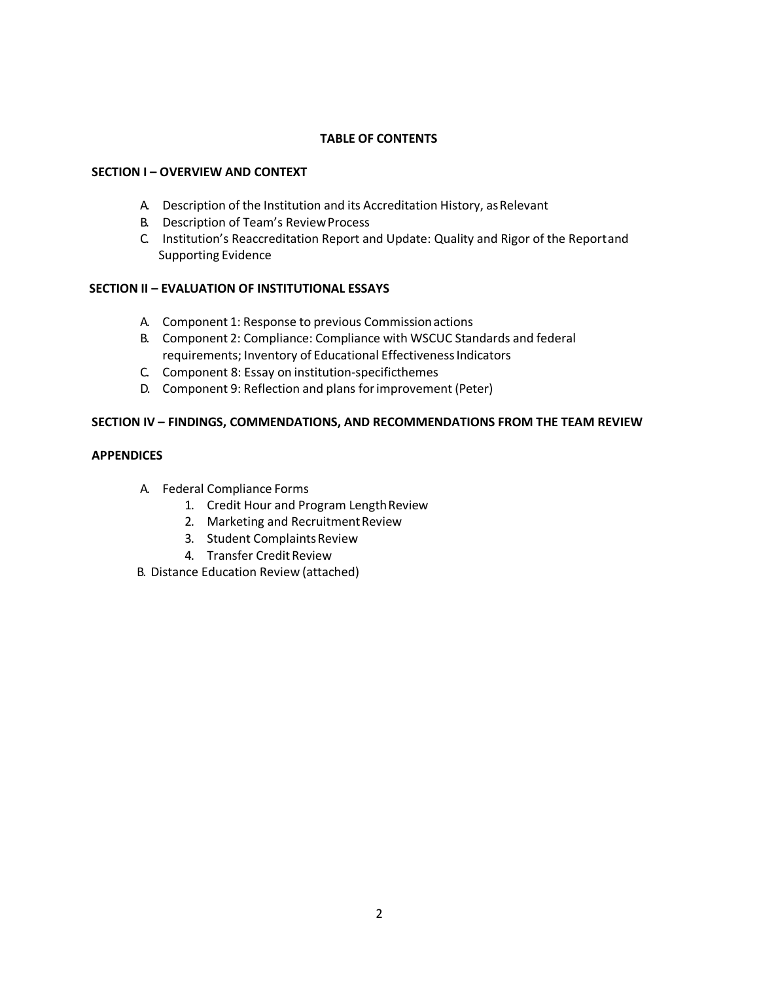# **TABLE OF CONTENTS**

### **SECTION I – OVERVIEW AND CONTEXT**

- A Description of the Institution and its Accreditation History, as Relevant
- B. Description of Team's ReviewProcess
- C. Institution's Reaccreditation Report and Update: Quality and Rigor of the Reportand Supporting Evidence

# **SECTION II – EVALUATION OF INSTITUTIONAL ESSAYS**

- A. Component 1: Response to previous Commissionactions
- B. Component 2: Compliance: Compliance with WSCUC Standards and federal requirements; Inventory of Educational Effectiveness Indicators
- C. Component 8: Essay on institution-specificthemes
- D. Component 9: Reflection and plans forimprovement (Peter)

# **SECTION IV – FINDINGS, COMMENDATIONS, AND RECOMMENDATIONS FROM THE TEAM REVIEW**

### **APPENDICES**

- A. Federal Compliance Forms
	- 1. Credit Hour and Program Length Review
	- 2. Marketing and Recruitment Review
	- 3. Student Complaints Review
	- 4. Transfer Credit Review
- B. Distance Education Review (attached)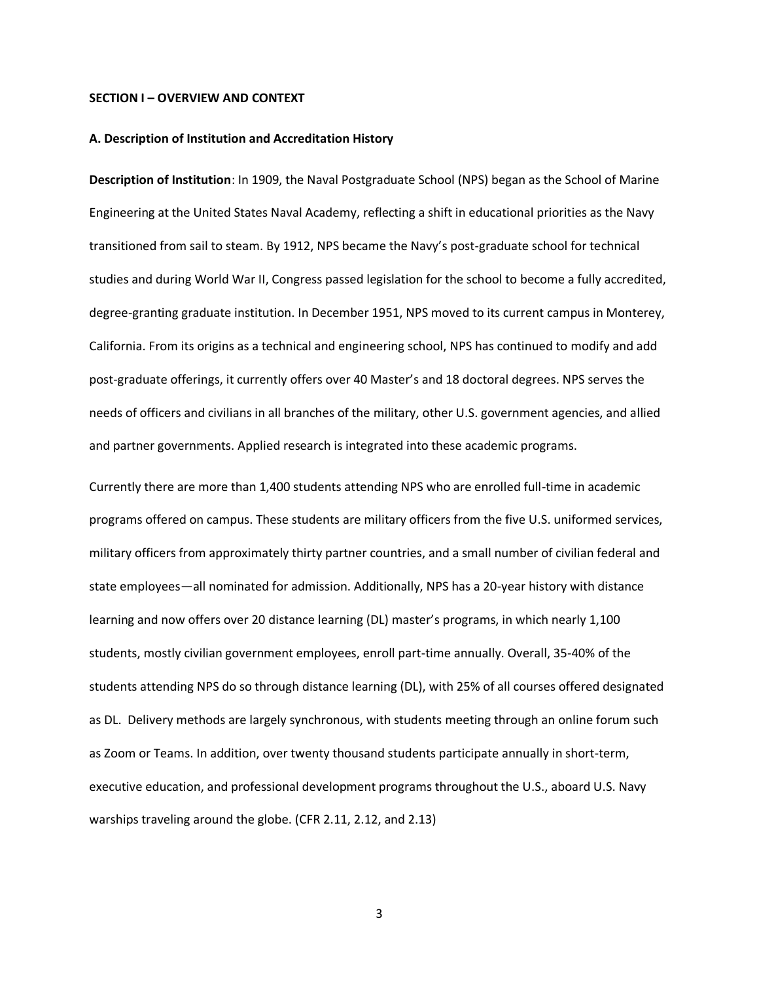#### **SECTION I – OVERVIEW AND CONTEXT**

#### **A. Description of Institution and Accreditation History**

**Description of Institution**: In 1909, the Naval Postgraduate School (NPS) began as the School of Marine Engineering at the United States Naval Academy, reflecting a shift in educational priorities as the Navy transitioned from sail to steam. By 1912, NPS became the Navy's post-graduate school for technical studies and during World War II, Congress passed legislation for the school to become a fully accredited, degree-granting graduate institution. In December 1951, NPS moved to its current campus in Monterey, California. From its origins as a technical and engineering school, NPS has continued to modify and add post-graduate offerings, it currently offers over 40 Master's and 18 doctoral degrees. NPS serves the needs of officers and civilians in all branches of the military, other U.S. government agencies, and allied and partner governments. Applied research is integrated into these academic programs.

Currently there are more than 1,400 students attending NPS who are enrolled full-time in academic programs offered on campus. These students are military officers from the five U.S. uniformed services, military officers from approximately thirty partner countries, and a small number of civilian federal and state employees—all nominated for admission. Additionally, NPS has a 20-year history with distance learning and now offers over 20 distance learning (DL) master's programs, in which nearly 1,100 students, mostly civilian government employees, enroll part-time annually. Overall, 35-40% of the students attending NPS do so through distance learning (DL), with 25% of all courses offered designated as DL. Delivery methods are largely synchronous, with students meeting through an online forum such as Zoom or Teams. In addition, over twenty thousand students participate annually in short-term, executive education, and professional development programs throughout the U.S., aboard U.S. Navy warships traveling around the globe. (CFR 2.11, 2.12, and 2.13)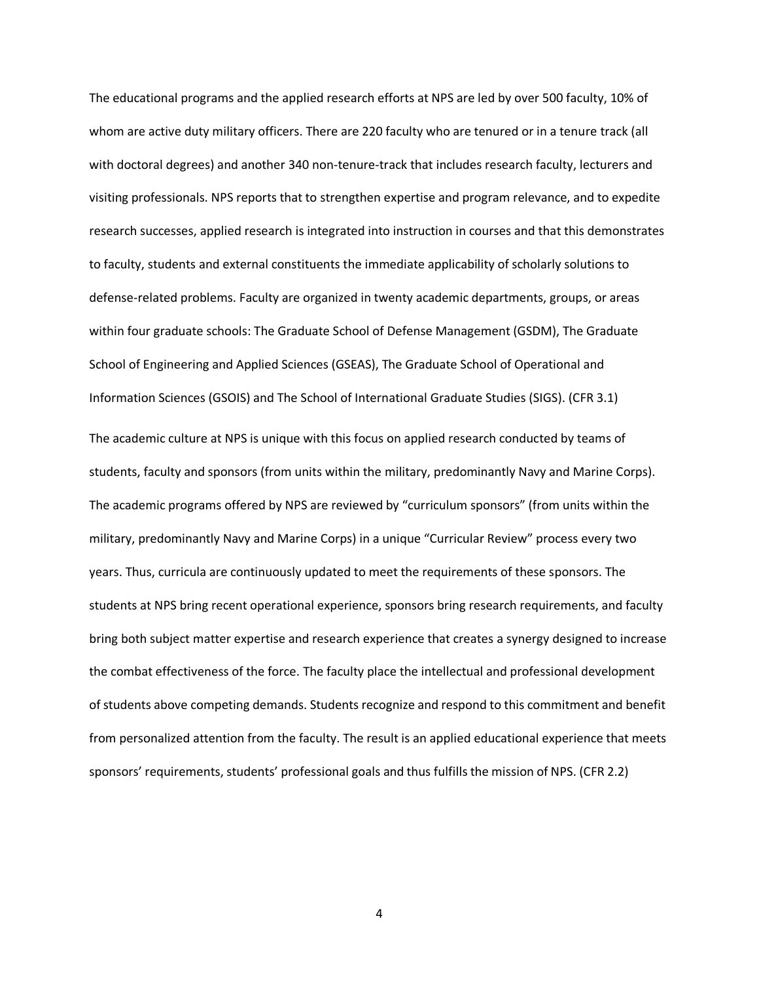The educational programs and the applied research efforts at NPS are led by over 500 faculty, 10% of whom are active duty military officers. There are 220 faculty who are tenured or in a tenure track (all with doctoral degrees) and another 340 non-tenure-track that includes research faculty, lecturers and visiting professionals. NPS reports that to strengthen expertise and program relevance, and to expedite research successes, applied research is integrated into instruction in courses and that this demonstrates to faculty, students and external constituents the immediate applicability of scholarly solutions to defense-related problems. Faculty are organized in twenty academic departments, groups, or areas within four graduate schools: The Graduate School of Defense Management (GSDM), The Graduate School of Engineering and Applied Sciences (GSEAS), The Graduate School of Operational and Information Sciences (GSOIS) and The School of International Graduate Studies (SIGS). (CFR 3.1) The academic culture at NPS is unique with this focus on applied research conducted by teams of students, faculty and sponsors (from units within the military, predominantly Navy and Marine Corps). The academic programs offered by NPS are reviewed by "curriculum sponsors" (from units within the military, predominantly Navy and Marine Corps) in a unique "Curricular Review" process every two years. Thus, curricula are continuously updated to meet the requirements of these sponsors. The students at NPS bring recent operational experience, sponsors bring research requirements, and faculty bring both subject matter expertise and research experience that creates a synergy designed to increase the combat effectiveness of the force. The faculty place the intellectual and professional development of students above competing demands. Students recognize and respond to this commitment and benefit from personalized attention from the faculty. The result is an applied educational experience that meets sponsors' requirements, students' professional goals and thus fulfills the mission of NPS. (CFR 2.2)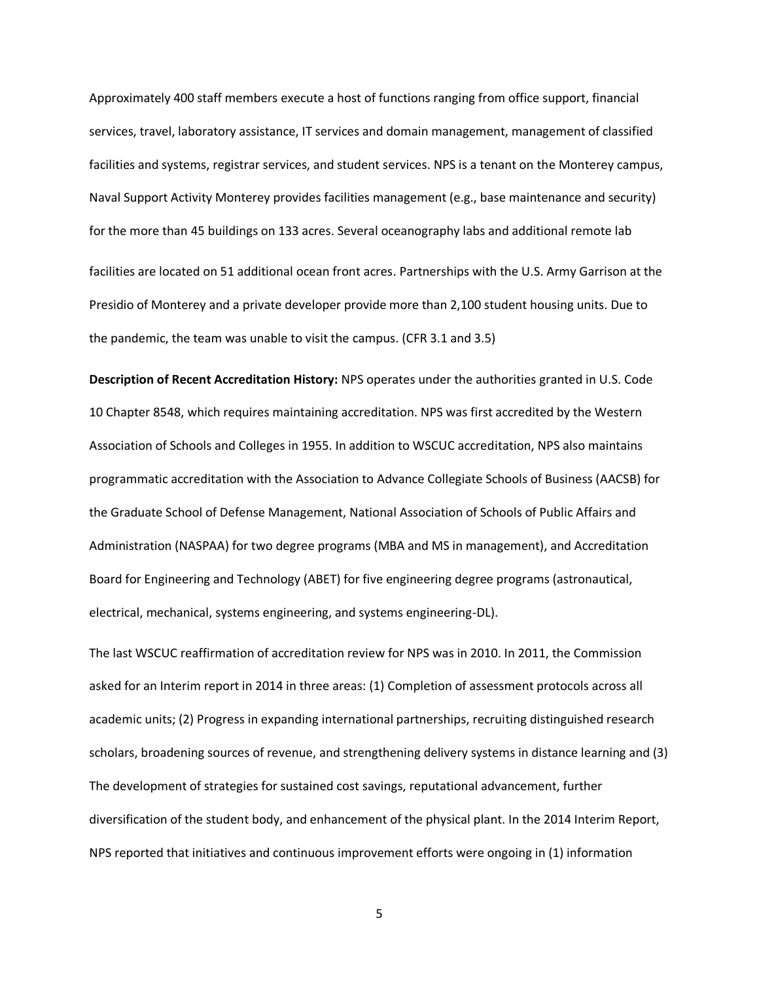Approximately 400 staff members execute a host of functions ranging from office support, financial services, travel, laboratory assistance, IT services and domain management, management of classified facilities and systems, registrar services, and student services. NPS is a tenant on the Monterey campus, Naval Support Activity Monterey provides facilities management (e.g., base maintenance and security) for the more than 45 buildings on 133 acres. Several oceanography labs and additional remote lab facilities are located on 51 additional ocean front acres. Partnerships with the U.S. Army Garrison at the Presidio of Monterey and a private developer provide more than 2,100 student housing units. Due to the pandemic, the team was unable to visit the campus. (CFR 3.1 and 3.5)

**Description of Recent Accreditation History:** NPS operates under the authorities granted in U.S. Code 10 Chapter 8548, which requires maintaining accreditation. NPS was first accredited by the Western Association of Schools and Colleges in 1955. In addition to WSCUC accreditation, NPS also maintains programmatic accreditation with the Association to Advance Collegiate Schools of Business (AACSB) for the Graduate School of Defense Management, National Association of Schools of Public Affairs and Administration (NASPAA) for two degree programs (MBA and MS in management), and Accreditation Board for Engineering and Technology (ABET) for five engineering degree programs (astronautical, electrical, mechanical, systems engineering, and systems engineering-DL).

The last WSCUC reaffirmation of accreditation review for NPS was in 2010. In 2011, the Commission asked for an Interim report in 2014 in three areas: (1) Completion of assessment protocols across all academic units; (2) Progress in expanding international partnerships, recruiting distinguished research scholars, broadening sources of revenue, and strengthening delivery systems in distance learning and (3) The development of strategies for sustained cost savings, reputational advancement, further diversification of the student body, and enhancement of the physical plant. In the 2014 Interim Report, NPS reported that initiatives and continuous improvement efforts were ongoing in (1) information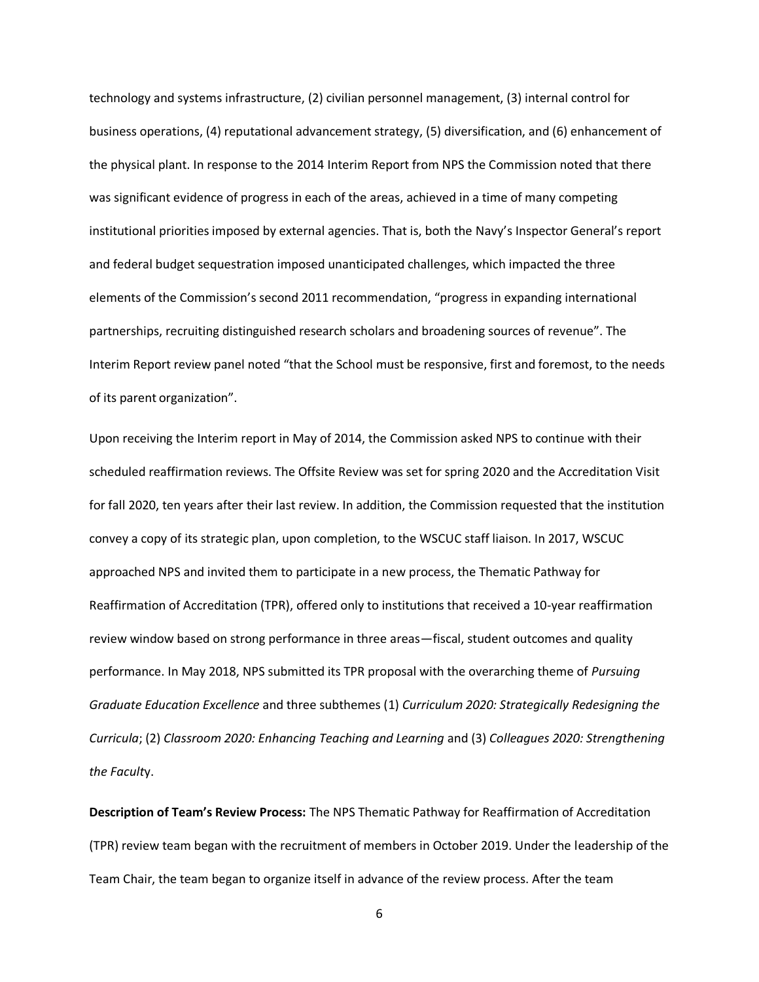technology and systems infrastructure, (2) civilian personnel management, (3) internal control for business operations, (4) reputational advancement strategy, (5) diversification, and (6) enhancement of the physical plant. In response to the 2014 Interim Report from NPS the Commission noted that there was significant evidence of progress in each of the areas, achieved in a time of many competing institutional priorities imposed by external agencies. That is, both the Navy's Inspector General's report and federal budget sequestration imposed unanticipated challenges, which impacted the three elements of the Commission's second 2011 recommendation, "progress in expanding international partnerships, recruiting distinguished research scholars and broadening sources of revenue". The Interim Report review panel noted "that the School must be responsive, first and foremost, to the needs of its parent organization".

Upon receiving the Interim report in May of 2014, the Commission asked NPS to continue with their scheduled reaffirmation reviews. The Offsite Review was set for spring 2020 and the Accreditation Visit for fall 2020, ten years after their last review. In addition, the Commission requested that the institution convey a copy of its strategic plan, upon completion, to the WSCUC staff liaison. In 2017, WSCUC approached NPS and invited them to participate in a new process, the Thematic Pathway for Reaffirmation of Accreditation (TPR), offered only to institutions that received a 10-year reaffirmation review window based on strong performance in three areas—fiscal, student outcomes and quality performance. In May 2018, NPS submitted its TPR proposal with the overarching theme of *Pursuing Graduate Education Excellence* and three subthemes (1) *Curriculum 2020: Strategically Redesigning the Curricula*; (2) *Classroom 2020: Enhancing Teaching and Learning* and (3) *Colleagues 2020: Strengthening the Facult*y.

**Description of Team's Review Process:** The NPS Thematic Pathway for Reaffirmation of Accreditation (TPR) review team began with the recruitment of members in October 2019. Under the leadership of the Team Chair, the team began to organize itself in advance of the review process. After the team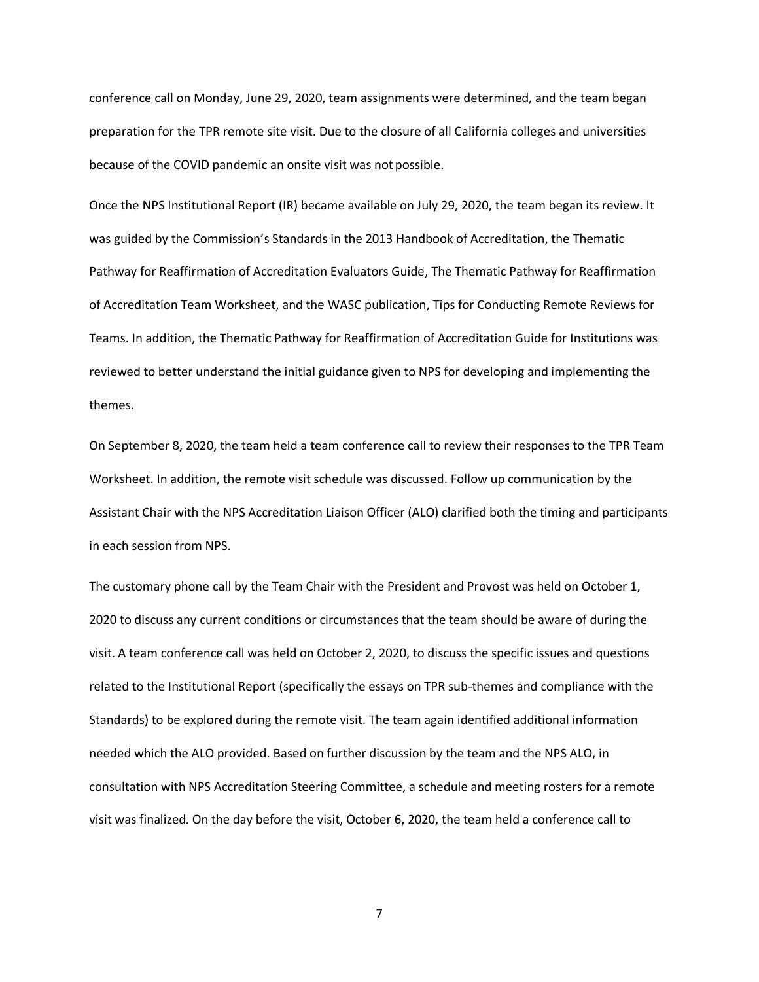conference call on Monday, June 29, 2020, team assignments were determined, and the team began preparation for the TPR remote site visit. Due to the closure of all California colleges and universities because of the COVID pandemic an onsite visit was not possible.

Once the NPS Institutional Report (IR) became available on July 29, 2020, the team began its review. It was guided by the Commission's Standards in the 2013 Handbook of Accreditation, the Thematic Pathway for Reaffirmation of Accreditation Evaluators Guide, The Thematic Pathway for Reaffirmation of Accreditation Team Worksheet, and the WASC publication, Tips for Conducting Remote Reviews for Teams. In addition, the Thematic Pathway for Reaffirmation of Accreditation Guide for Institutions was reviewed to better understand the initial guidance given to NPS for developing and implementing the themes.

On September 8, 2020, the team held a team conference call to review their responses to the TPR Team Worksheet. In addition, the remote visit schedule was discussed. Follow up communication by the Assistant Chair with the NPS Accreditation Liaison Officer (ALO) clarified both the timing and participants in each session from NPS.

The customary phone call by the Team Chair with the President and Provost was held on October 1, 2020 to discuss any current conditions or circumstances that the team should be aware of during the visit. A team conference call was held on October 2, 2020, to discuss the specific issues and questions related to the Institutional Report (specifically the essays on TPR sub-themes and compliance with the Standards) to be explored during the remote visit. The team again identified additional information needed which the ALO provided. Based on further discussion by the team and the NPS ALO, in consultation with NPS Accreditation Steering Committee, a schedule and meeting rosters for a remote visit was finalized. On the day before the visit, October 6, 2020, the team held a conference call to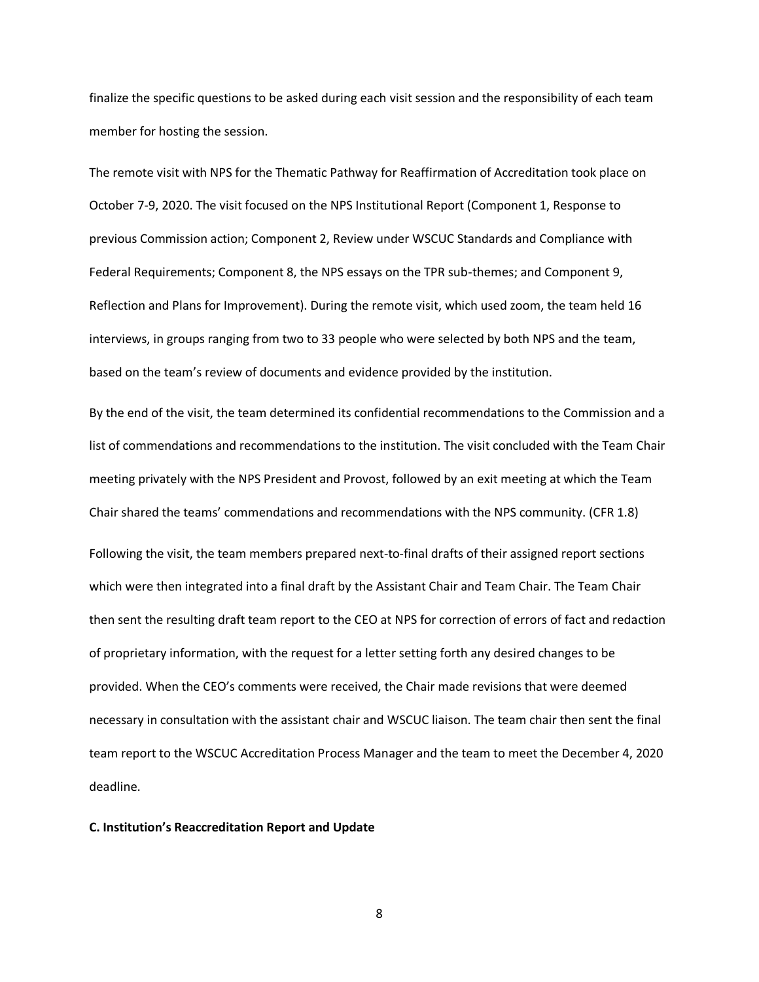finalize the specific questions to be asked during each visit session and the responsibility of each team member for hosting the session.

The remote visit with NPS for the Thematic Pathway for Reaffirmation of Accreditation took place on October 7-9, 2020. The visit focused on the NPS Institutional Report (Component 1, Response to previous Commission action; Component 2, Review under WSCUC Standards and Compliance with Federal Requirements; Component 8, the NPS essays on the TPR sub-themes; and Component 9, Reflection and Plans for Improvement). During the remote visit, which used zoom, the team held 16 interviews, in groups ranging from two to 33 people who were selected by both NPS and the team, based on the team's review of documents and evidence provided by the institution.

By the end of the visit, the team determined its confidential recommendations to the Commission and a list of commendations and recommendations to the institution. The visit concluded with the Team Chair meeting privately with the NPS President and Provost, followed by an exit meeting at which the Team Chair shared the teams' commendations and recommendations with the NPS community. (CFR 1.8) Following the visit, the team members prepared next-to-final drafts of their assigned report sections which were then integrated into a final draft by the Assistant Chair and Team Chair. The Team Chair then sent the resulting draft team report to the CEO at NPS for correction of errors of fact and redaction of proprietary information, with the request for a letter setting forth any desired changes to be provided. When the CEO's comments were received, the Chair made revisions that were deemed necessary in consultation with the assistant chair and WSCUC liaison. The team chair then sent the final team report to the WSCUC Accreditation Process Manager and the team to meet the December 4, 2020

deadline.

#### **C. Institution's Reaccreditation Report and Update**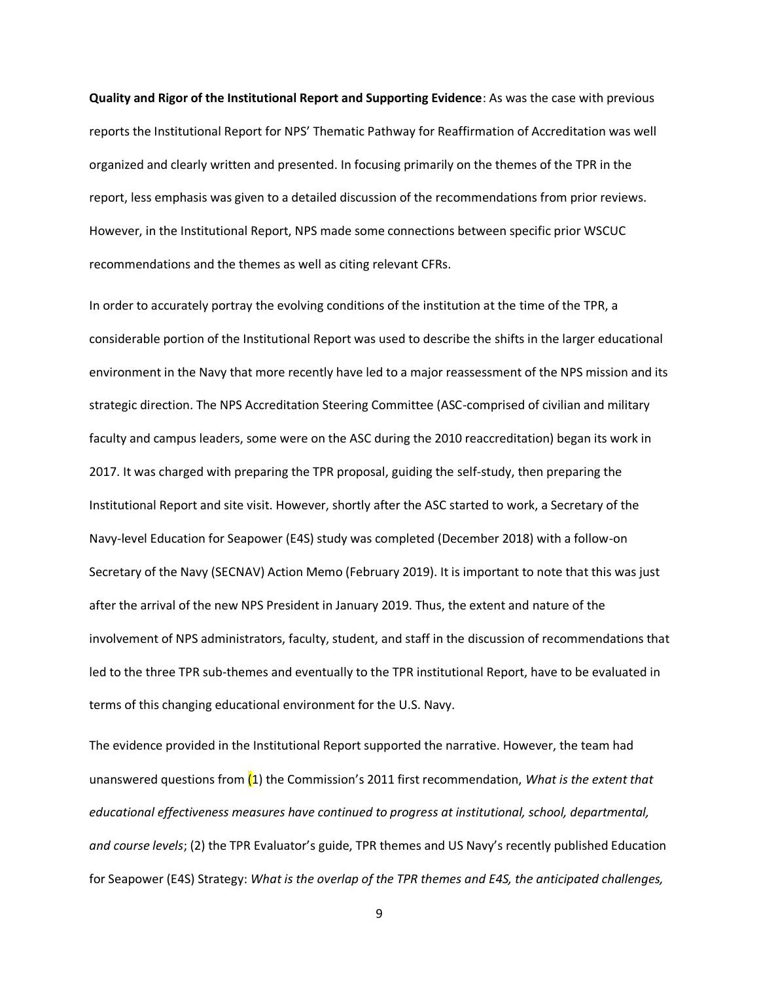**Quality and Rigor of the Institutional Report and Supporting Evidence**: As was the case with previous reports the Institutional Report for NPS' Thematic Pathway for Reaffirmation of Accreditation was well organized and clearly written and presented. In focusing primarily on the themes of the TPR in the report, less emphasis was given to a detailed discussion of the recommendations from prior reviews. However, in the Institutional Report, NPS made some connections between specific prior WSCUC recommendations and the themes as well as citing relevant CFRs.

In order to accurately portray the evolving conditions of the institution at the time of the TPR, a considerable portion of the Institutional Report was used to describe the shifts in the larger educational environment in the Navy that more recently have led to a major reassessment of the NPS mission and its strategic direction. The NPS Accreditation Steering Committee (ASC-comprised of civilian and military faculty and campus leaders, some were on the ASC during the 2010 reaccreditation) began its work in 2017. It was charged with preparing the TPR proposal, guiding the self-study, then preparing the Institutional Report and site visit. However, shortly after the ASC started to work, a Secretary of the Navy-level Education for Seapower (E4S) study was completed (December 2018) with a follow-on Secretary of the Navy (SECNAV) Action Memo (February 2019). It is important to note that this was just after the arrival of the new NPS President in January 2019. Thus, the extent and nature of the involvement of NPS administrators, faculty, student, and staff in the discussion of recommendations that led to the three TPR sub-themes and eventually to the TPR institutional Report, have to be evaluated in terms of this changing educational environment for the U.S. Navy.

The evidence provided in the Institutional Report supported the narrative. However, the team had unanswered questions from (1) the Commission's 2011 first recommendation, *What is the extent that educational effectiveness measures have continued to progress at institutional, school, departmental, and course levels*; (2) the TPR Evaluator's guide, TPR themes and US Navy's recently published Education for Seapower (E4S) Strategy: *What is the overlap of the TPR themes and E4S, the anticipated challenges,*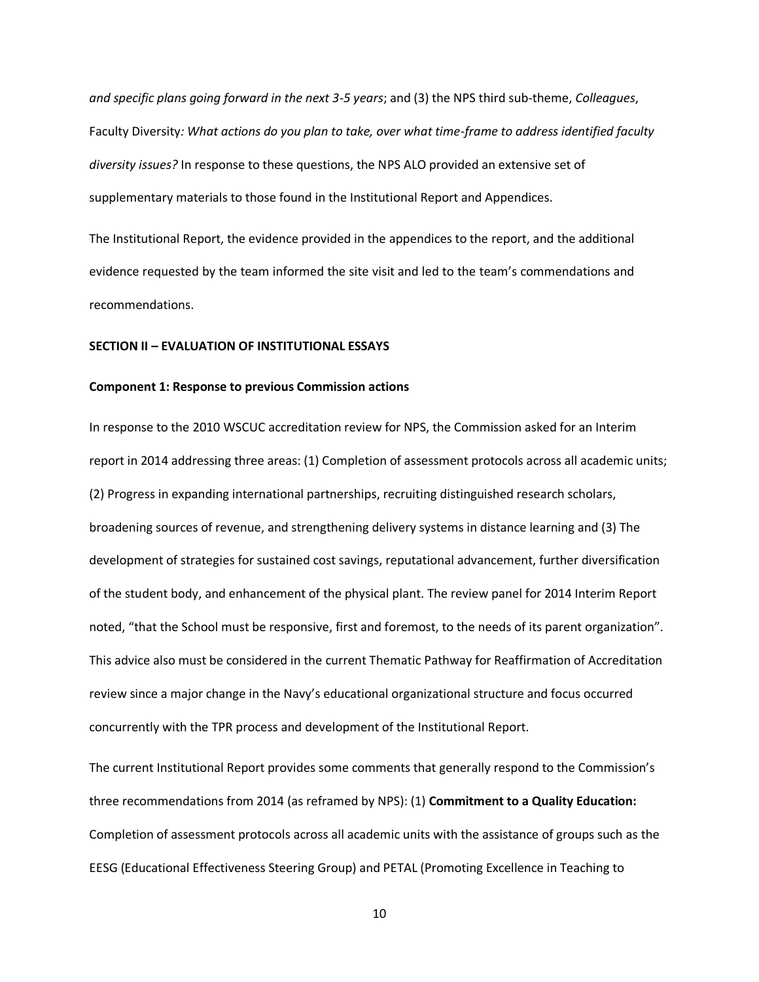*and specific plans going forward in the next 3-5 years*; and (3) the NPS third sub-theme, *Colleagues*, Faculty Diversity*: What actions do you plan to take, over what time-frame to address identified faculty diversity issues?* In response to these questions, the NPS ALO provided an extensive set of supplementary materials to those found in the Institutional Report and Appendices.

The Institutional Report, the evidence provided in the appendices to the report, and the additional evidence requested by the team informed the site visit and led to the team's commendations and recommendations.

#### **SECTION II – EVALUATION OF INSTITUTIONAL ESSAYS**

#### **Component 1: Response to previous Commission actions**

In response to the 2010 WSCUC accreditation review for NPS, the Commission asked for an Interim report in 2014 addressing three areas: (1) Completion of assessment protocols across all academic units; (2) Progress in expanding international partnerships, recruiting distinguished research scholars, broadening sources of revenue, and strengthening delivery systems in distance learning and (3) The development of strategies for sustained cost savings, reputational advancement, further diversification of the student body, and enhancement of the physical plant. The review panel for 2014 Interim Report noted, "that the School must be responsive, first and foremost, to the needs of its parent organization". This advice also must be considered in the current Thematic Pathway for Reaffirmation of Accreditation review since a major change in the Navy's educational organizational structure and focus occurred concurrently with the TPR process and development of the Institutional Report.

The current Institutional Report provides some comments that generally respond to the Commission's three recommendations from 2014 (as reframed by NPS): (1) **Commitment to a Quality Education:**  Completion of assessment protocols across all academic units with the assistance of groups such as the EESG (Educational Effectiveness Steering Group) and PETAL (Promoting Excellence in Teaching to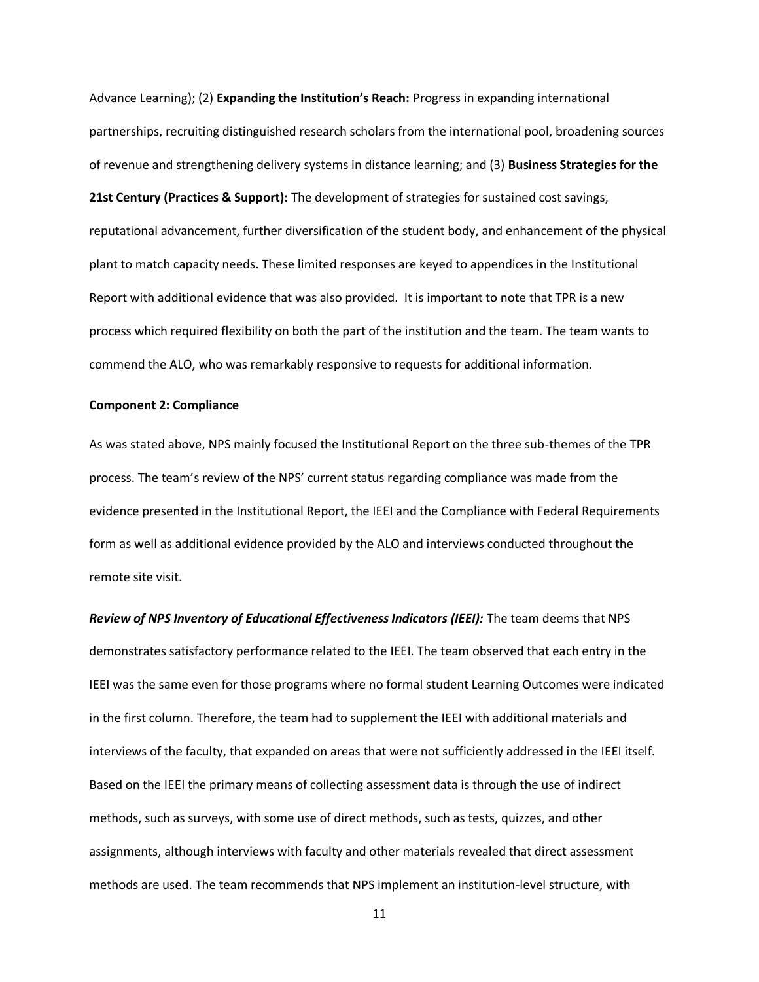Advance Learning); (2) **Expanding the Institution's Reach:** Progress in expanding international partnerships, recruiting distinguished research scholars from the international pool, broadening sources of revenue and strengthening delivery systems in distance learning; and (3) **Business Strategies for the** 

**21st Century (Practices & Support):** The development of strategies for sustained cost savings, reputational advancement, further diversification of the student body, and enhancement of the physical plant to match capacity needs. These limited responses are keyed to appendices in the Institutional Report with additional evidence that was also provided. It is important to note that TPR is a new process which required flexibility on both the part of the institution and the team. The team wants to commend the ALO, who was remarkably responsive to requests for additional information.

#### **Component 2: Compliance**

As was stated above, NPS mainly focused the Institutional Report on the three sub-themes of the TPR process. The team's review of the NPS' current status regarding compliance was made from the evidence presented in the Institutional Report, the IEEI and the Compliance with Federal Requirements form as well as additional evidence provided by the ALO and interviews conducted throughout the remote site visit.

*Review of NPS Inventory of Educational Effectiveness Indicators (IEEI):* The team deems that NPS demonstrates satisfactory performance related to the IEEI. The team observed that each entry in the IEEI was the same even for those programs where no formal student Learning Outcomes were indicated in the first column. Therefore, the team had to supplement the IEEI with additional materials and interviews of the faculty, that expanded on areas that were not sufficiently addressed in the IEEI itself. Based on the IEEI the primary means of collecting assessment data is through the use of indirect methods, such as surveys, with some use of direct methods, such as tests, quizzes, and other assignments, although interviews with faculty and other materials revealed that direct assessment methods are used. The team recommends that NPS implement an institution-level structure, with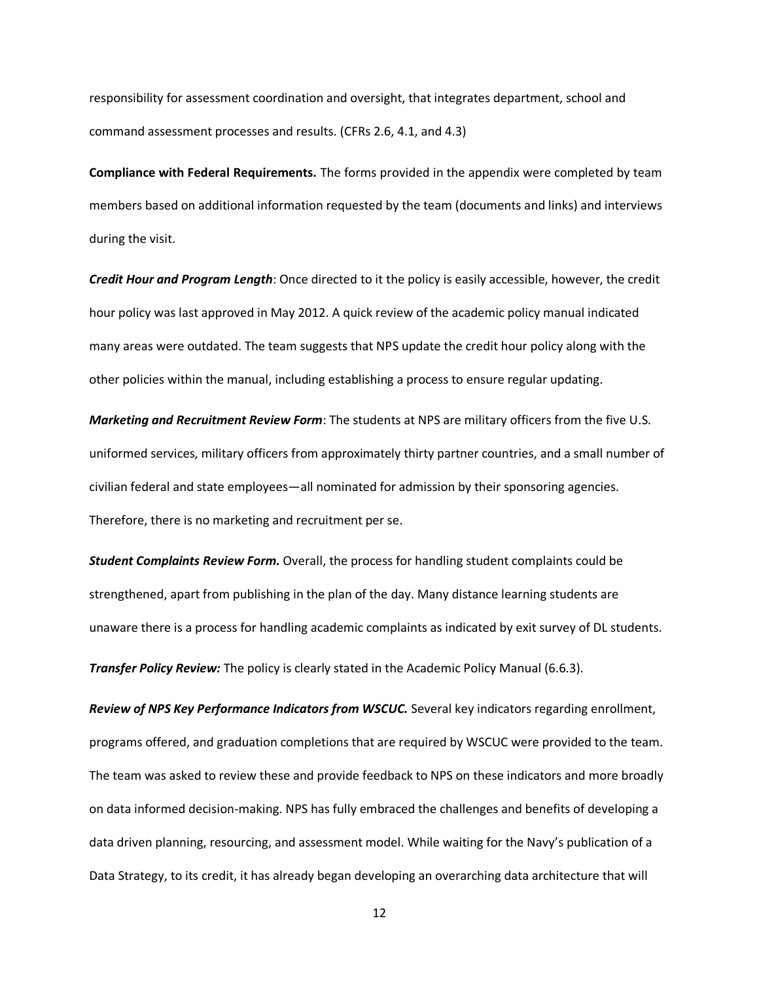responsibility for assessment coordination and oversight, that integrates department, school and command assessment processes and results. (CFRs 2.6, 4.1, and 4.3)

**Compliance with Federal Requirements.** The forms provided in the appendix were completed by team members based on additional information requested by the team (documents and links) and interviews during the visit.

*Credit Hour and Program Length*: Once directed to it the policy is easily accessible, however, the credit hour policy was last approved in May 2012. A quick review of the academic policy manual indicated many areas were outdated. The team suggests that NPS update the credit hour policy along with the other policies within the manual, including establishing a process to ensure regular updating.

*Marketing and Recruitment Review Form*: The students at NPS are military officers from the five U.S. uniformed services, military officers from approximately thirty partner countries, and a small number of civilian federal and state employees—all nominated for admission by their sponsoring agencies. Therefore, there is no marketing and recruitment per se.

*Student Complaints Review Form.* Overall, the process for handling student complaints could be strengthened, apart from publishing in the plan of the day. Many distance learning students are unaware there is a process for handling academic complaints as indicated by exit survey of DL students.

*Transfer Policy Review:* The policy is clearly stated in the Academic Policy Manual (6.6.3).

*Review of NPS Key Performance Indicators from WSCUC.* Several key indicators regarding enrollment, programs offered, and graduation completions that are required by WSCUC were provided to the team. The team was asked to review these and provide feedback to NPS on these indicators and more broadly on data informed decision-making. NPS has fully embraced the challenges and benefits of developing a data driven planning, resourcing, and assessment model. While waiting for the Navy's publication of a Data Strategy, to its credit, it has already began developing an overarching data architecture that will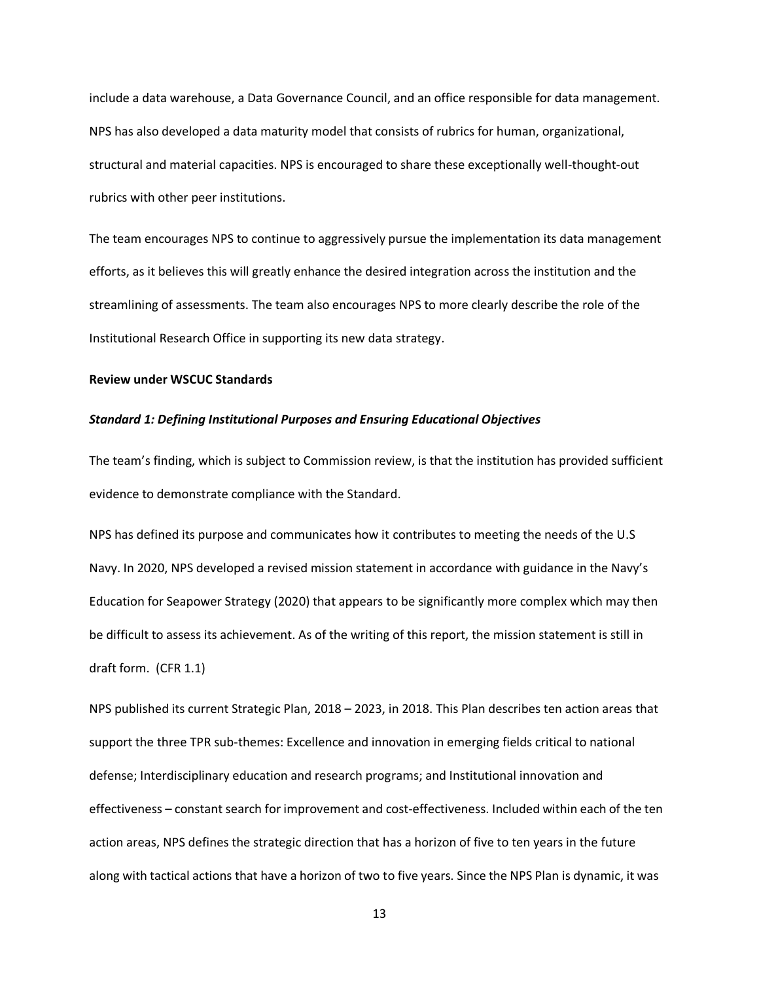include a data warehouse, a Data Governance Council, and an office responsible for data management. NPS has also developed a data maturity model that consists of rubrics for human, organizational, structural and material capacities. NPS is encouraged to share these exceptionally well-thought-out rubrics with other peer institutions.

The team encourages NPS to continue to aggressively pursue the implementation its data management efforts, as it believes this will greatly enhance the desired integration across the institution and the streamlining of assessments. The team also encourages NPS to more clearly describe the role of the Institutional Research Office in supporting its new data strategy.

#### **Review under WSCUC Standards**

### *Standard 1: Defining Institutional Purposes and Ensuring Educational Objectives*

The team's finding, which is subject to Commission review, is that the institution has provided sufficient evidence to demonstrate compliance with the Standard.

NPS has defined its purpose and communicates how it contributes to meeting the needs of the U.S Navy. In 2020, NPS developed a revised mission statement in accordance with guidance in the Navy's Education for Seapower Strategy (2020) that appears to be significantly more complex which may then be difficult to assess its achievement. As of the writing of this report, the mission statement is still in draft form. (CFR 1.1)

NPS published its current Strategic Plan, 2018 – 2023, in 2018. This Plan describes ten action areas that support the three TPR sub-themes: Excellence and innovation in emerging fields critical to national defense; Interdisciplinary education and research programs; and Institutional innovation and effectiveness – constant search for improvement and cost-effectiveness. Included within each of the ten action areas, NPS defines the strategic direction that has a horizon of five to ten years in the future along with tactical actions that have a horizon of two to five years. Since the NPS Plan is dynamic, it was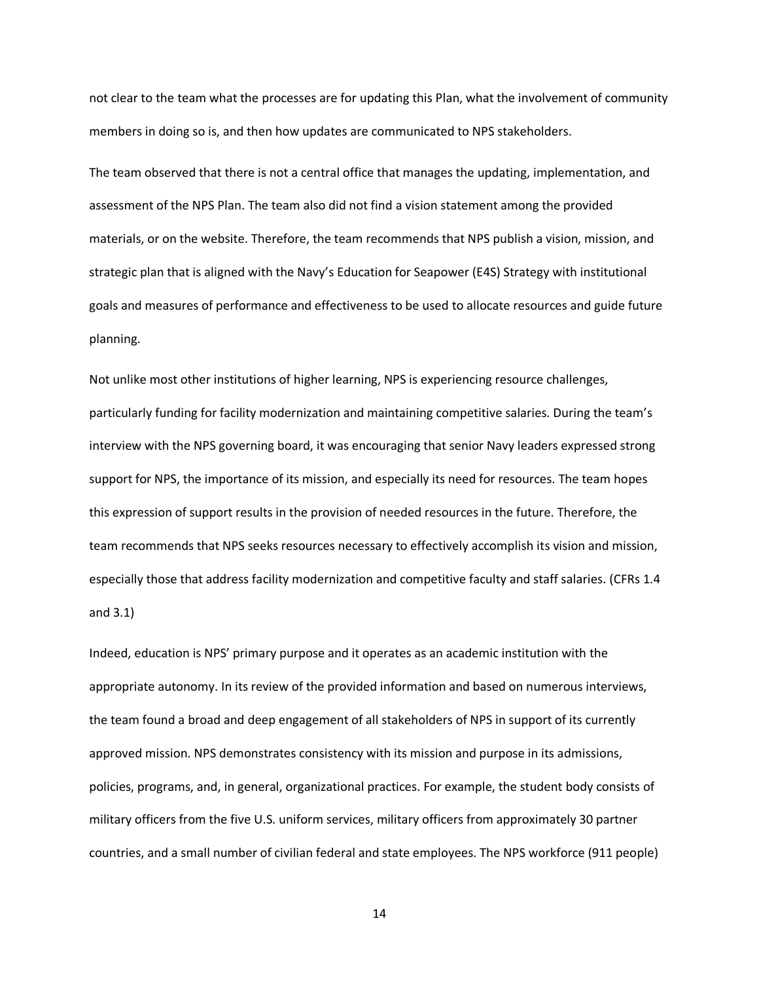not clear to the team what the processes are for updating this Plan, what the involvement of community members in doing so is, and then how updates are communicated to NPS stakeholders.

The team observed that there is not a central office that manages the updating, implementation, and assessment of the NPS Plan. The team also did not find a vision statement among the provided materials, or on the website. Therefore, the team recommends that NPS publish a vision, mission, and strategic plan that is aligned with the Navy's Education for Seapower (E4S) Strategy with institutional goals and measures of performance and effectiveness to be used to allocate resources and guide future planning.

Not unlike most other institutions of higher learning, NPS is experiencing resource challenges, particularly funding for facility modernization and maintaining competitive salaries. During the team's interview with the NPS governing board, it was encouraging that senior Navy leaders expressed strong support for NPS, the importance of its mission, and especially its need for resources. The team hopes this expression of support results in the provision of needed resources in the future. Therefore, the team recommends that NPS seeks resources necessary to effectively accomplish its vision and mission, especially those that address facility modernization and competitive faculty and staff salaries. (CFRs 1.4 and 3.1)

Indeed, education is NPS' primary purpose and it operates as an academic institution with the appropriate autonomy. In its review of the provided information and based on numerous interviews, the team found a broad and deep engagement of all stakeholders of NPS in support of its currently approved mission. NPS demonstrates consistency with its mission and purpose in its admissions, policies, programs, and, in general, organizational practices. For example, the student body consists of military officers from the five U.S. uniform services, military officers from approximately 30 partner countries, and a small number of civilian federal and state employees. The NPS workforce (911 people)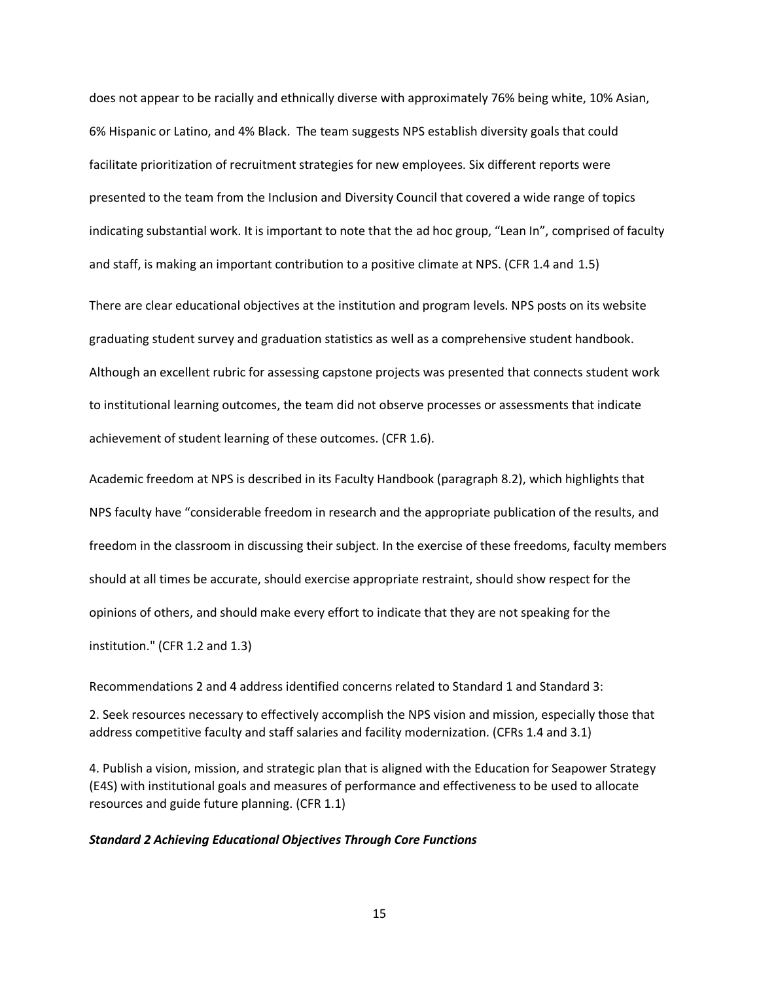does not appear to be racially and ethnically diverse with approximately 76% being white, 10% Asian, 6% Hispanic or Latino, and 4% Black. The team suggests NPS establish diversity goals that could facilitate prioritization of recruitment strategies for new employees. Six different reports were presented to the team from the Inclusion and Diversity Council that covered a wide range of topics indicating substantial work. It is important to note that the ad hoc group, "Lean In", comprised of faculty and staff, is making an important contribution to a positive climate at NPS. (CFR 1.4 and 1.5)

There are clear educational objectives at the institution and program levels. NPS posts on its website graduating student survey and graduation statistics as well as a comprehensive student handbook. Although an excellent rubric for assessing capstone projects was presented that connects student work to institutional learning outcomes, the team did not observe processes or assessments that indicate achievement of student learning of these outcomes. (CFR 1.6).

Academic freedom at NPS is described in its Faculty Handbook (paragraph 8.2), which highlights that NPS faculty have "considerable freedom in research and the appropriate publication of the results, and freedom in the classroom in discussing their subject. In the exercise of these freedoms, faculty members should at all times be accurate, should exercise appropriate restraint, should show respect for the opinions of others, and should make every effort to indicate that they are not speaking for the institution." (CFR 1.2 and 1.3)

Recommendations 2 and 4 address identified concerns related to Standard 1 and Standard 3:

2. Seek resources necessary to effectively accomplish the NPS vision and mission, especially those that address competitive faculty and staff salaries and facility modernization. (CFRs 1.4 and 3.1)

4. Publish a vision, mission, and strategic plan that is aligned with the Education for Seapower Strategy (E4S) with institutional goals and measures of performance and effectiveness to be used to allocate resources and guide future planning. (CFR 1.1)

#### *Standard 2 Achieving Educational Objectives Through Core Functions*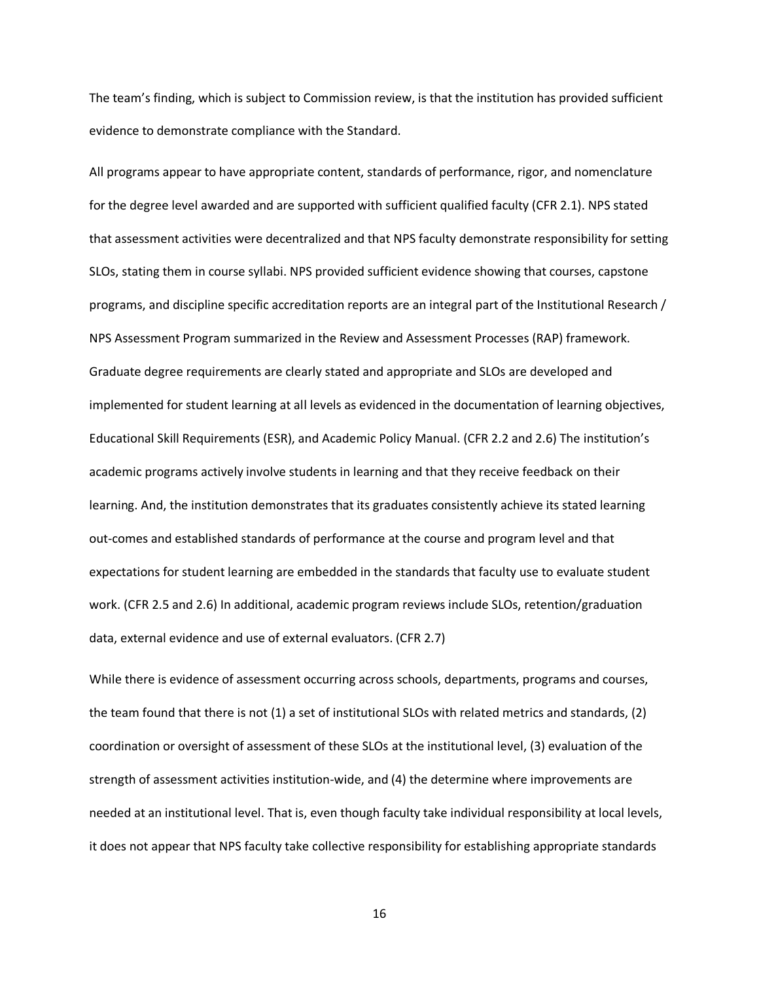The team's finding, which is subject to Commission review, is that the institution has provided sufficient evidence to demonstrate compliance with the Standard.

All programs appear to have appropriate content, standards of performance, rigor, and nomenclature for the degree level awarded and are supported with sufficient qualified faculty (CFR 2.1). NPS stated that assessment activities were decentralized and that NPS faculty demonstrate responsibility for setting SLOs, stating them in course syllabi. NPS provided sufficient evidence showing that courses, capstone programs, and discipline specific accreditation reports are an integral part of the Institutional Research / NPS Assessment Program summarized in the Review and Assessment Processes (RAP) framework. Graduate degree requirements are clearly stated and appropriate and SLOs are developed and implemented for student learning at all levels as evidenced in the documentation of learning objectives, Educational Skill Requirements (ESR), and Academic Policy Manual. (CFR 2.2 and 2.6) The institution's academic programs actively involve students in learning and that they receive feedback on their learning. And, the institution demonstrates that its graduates consistently achieve its stated learning out-comes and established standards of performance at the course and program level and that expectations for student learning are embedded in the standards that faculty use to evaluate student work. (CFR 2.5 and 2.6) In additional, academic program reviews include SLOs, retention/graduation data, external evidence and use of external evaluators. (CFR 2.7)

While there is evidence of assessment occurring across schools, departments, programs and courses, the team found that there is not (1) a set of institutional SLOs with related metrics and standards, (2) coordination or oversight of assessment of these SLOs at the institutional level, (3) evaluation of the strength of assessment activities institution-wide, and (4) the determine where improvements are needed at an institutional level. That is, even though faculty take individual responsibility at local levels, it does not appear that NPS faculty take collective responsibility for establishing appropriate standards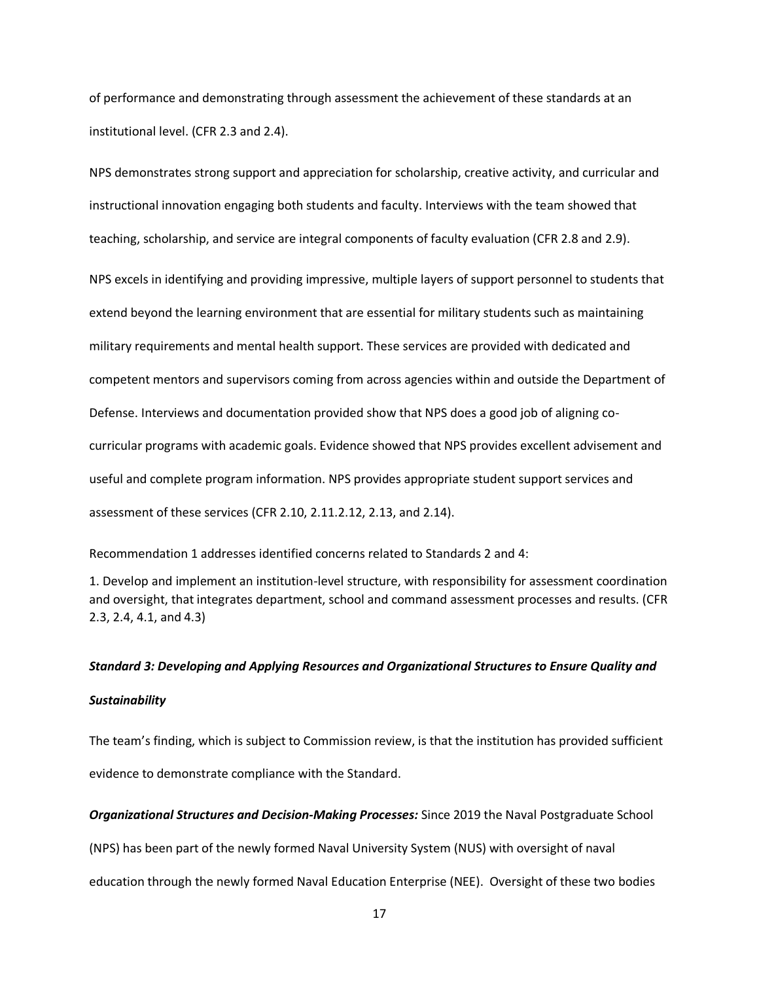of performance and demonstrating through assessment the achievement of these standards at an institutional level. (CFR 2.3 and 2.4).

NPS demonstrates strong support and appreciation for scholarship, creative activity, and curricular and instructional innovation engaging both students and faculty. Interviews with the team showed that teaching, scholarship, and service are integral components of faculty evaluation (CFR 2.8 and 2.9).

NPS excels in identifying and providing impressive, multiple layers of support personnel to students that extend beyond the learning environment that are essential for military students such as maintaining military requirements and mental health support. These services are provided with dedicated and competent mentors and supervisors coming from across agencies within and outside the Department of Defense. Interviews and documentation provided show that NPS does a good job of aligning cocurricular programs with academic goals. Evidence showed that NPS provides excellent advisement and useful and complete program information. NPS provides appropriate student support services and assessment of these services (CFR 2.10, 2.11.2.12, 2.13, and 2.14).

Recommendation 1 addresses identified concerns related to Standards 2 and 4:

1. Develop and implement an institution-level structure, with responsibility for assessment coordination and oversight, that integrates department, school and command assessment processes and results. (CFR 2.3, 2.4, 4.1, and 4.3)

# *Standard 3: Developing and Applying Resources and Organizational Structures to Ensure Quality and Sustainability*

The team's finding, which is subject to Commission review, is that the institution has provided sufficient evidence to demonstrate compliance with the Standard.

*Organizational Structures and Decision-Making Processes:* Since 2019 the Naval Postgraduate School

(NPS) has been part of the newly formed Naval University System (NUS) with oversight of naval

education through the newly formed Naval Education Enterprise (NEE). Oversight of these two bodies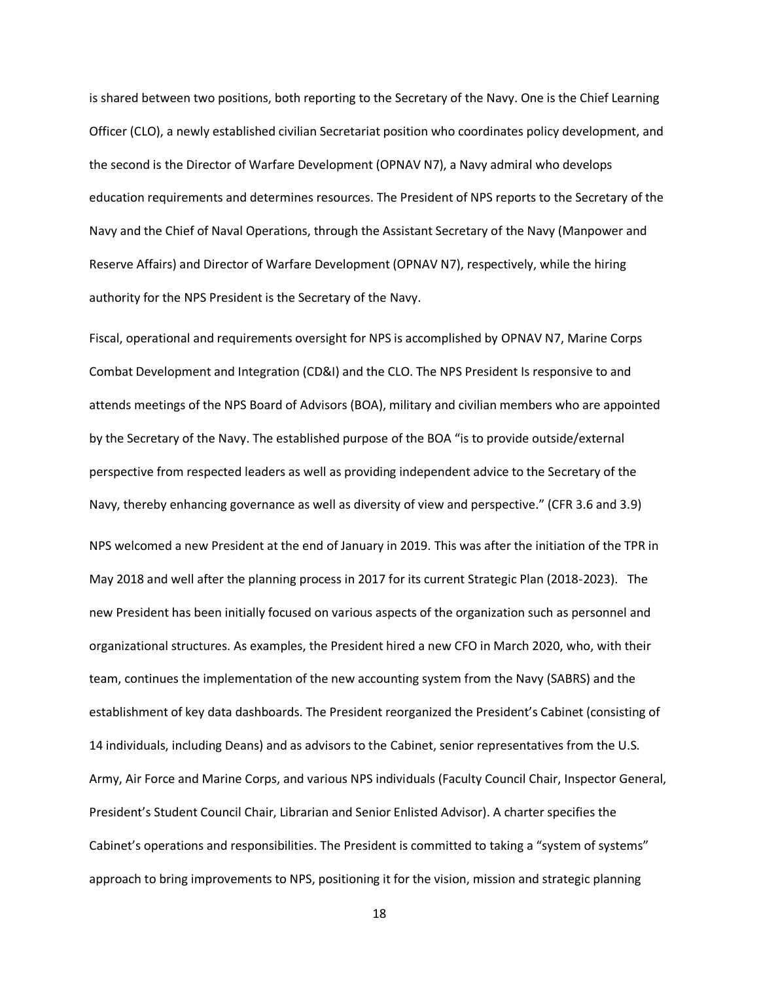is shared between two positions, both reporting to the Secretary of the Navy. One is the Chief Learning Officer (CLO), a newly established civilian Secretariat position who coordinates policy development, and the second is the Director of Warfare Development (OPNAV N7), a Navy admiral who develops education requirements and determines resources. The President of NPS reports to the Secretary of the Navy and the Chief of Naval Operations, through the Assistant Secretary of the Navy (Manpower and Reserve Affairs) and Director of Warfare Development (OPNAV N7), respectively, while the hiring authority for the NPS President is the Secretary of the Navy.

Fiscal, operational and requirements oversight for NPS is accomplished by OPNAV N7, Marine Corps Combat Development and Integration (CD&I) and the CLO. The NPS President Is responsive to and attends meetings of the NPS Board of Advisors (BOA), military and civilian members who are appointed by the Secretary of the Navy. The established purpose of the BOA "is to provide outside/external perspective from respected leaders as well as providing independent advice to the Secretary of the Navy, thereby enhancing governance as well as diversity of view and perspective." (CFR 3.6 and 3.9) NPS welcomed a new President at the end of January in 2019. This was after the initiation of the TPR in May 2018 and well after the planning process in 2017 for its current Strategic Plan (2018-2023). The new President has been initially focused on various aspects of the organization such as personnel and organizational structures. As examples, the President hired a new CFO in March 2020, who, with their team, continues the implementation of the new accounting system from the Navy (SABRS) and the establishment of key data dashboards. The President reorganized the President's Cabinet (consisting of 14 individuals, including Deans) and as advisors to the Cabinet, senior representatives from the U.S. Army, Air Force and Marine Corps, and various NPS individuals (Faculty Council Chair, Inspector General, President's Student Council Chair, Librarian and Senior Enlisted Advisor). A charter specifies the Cabinet's operations and responsibilities. The President is committed to taking a "system of systems" approach to bring improvements to NPS, positioning it for the vision, mission and strategic planning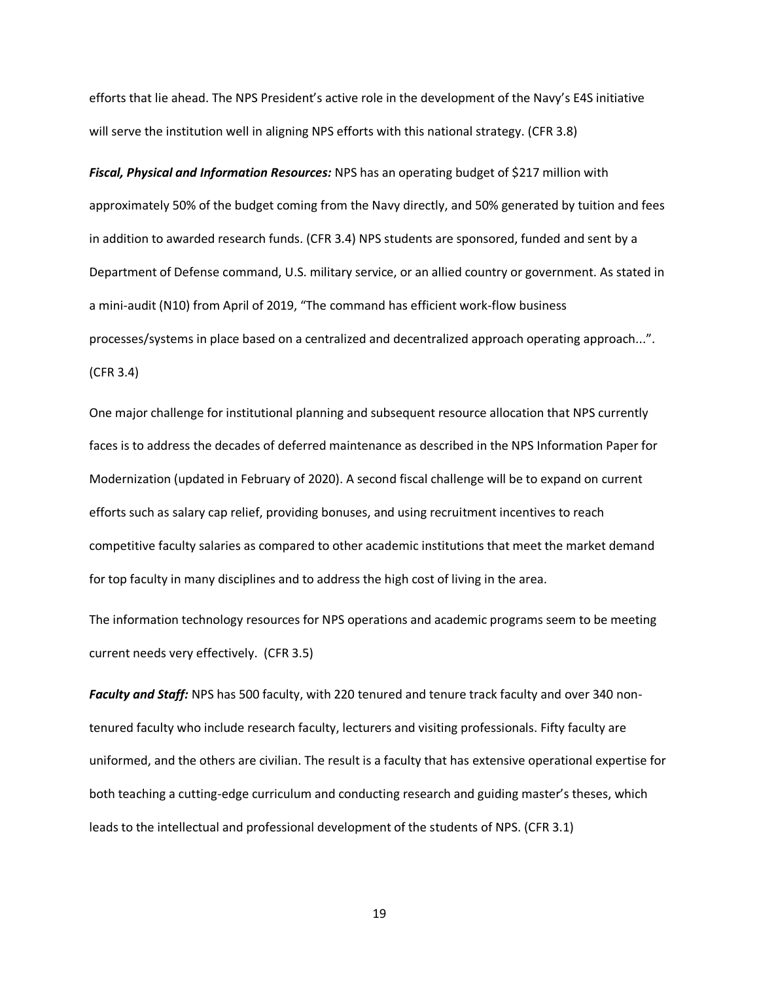efforts that lie ahead. The NPS President's active role in the development of the Navy's E4S initiative will serve the institution well in aligning NPS efforts with this national strategy. (CFR 3.8)

*Fiscal, Physical and Information Resources:* NPS has an operating budget of \$217 million with approximately 50% of the budget coming from the Navy directly, and 50% generated by tuition and fees in addition to awarded research funds. (CFR 3.4) NPS students are sponsored, funded and sent by a Department of Defense command, U.S. military service, or an allied country or government. As stated in a mini-audit (N10) from April of 2019, "The command has efficient work-flow business processes/systems in place based on a centralized and decentralized approach operating approach...". (CFR 3.4)

One major challenge for institutional planning and subsequent resource allocation that NPS currently faces is to address the decades of deferred maintenance as described in the NPS Information Paper for Modernization (updated in February of 2020). A second fiscal challenge will be to expand on current efforts such as salary cap relief, providing bonuses, and using recruitment incentives to reach competitive faculty salaries as compared to other academic institutions that meet the market demand for top faculty in many disciplines and to address the high cost of living in the area.

The information technology resources for NPS operations and academic programs seem to be meeting current needs very effectively. (CFR 3.5)

*Faculty and Staff:* NPS has 500 faculty, with 220 tenured and tenure track faculty and over 340 nontenured faculty who include research faculty, lecturers and visiting professionals. Fifty faculty are uniformed, and the others are civilian. The result is a faculty that has extensive operational expertise for both teaching a cutting-edge curriculum and conducting research and guiding master's theses, which leads to the intellectual and professional development of the students of NPS. (CFR 3.1)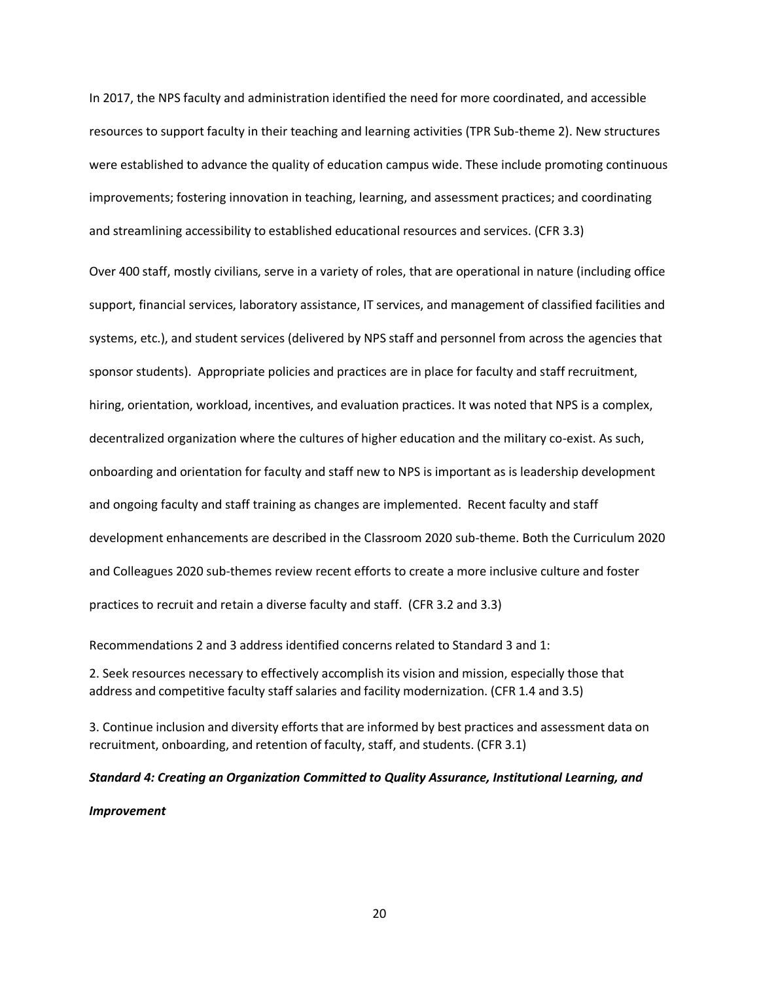In 2017, the NPS faculty and administration identified the need for more coordinated, and accessible resources to support faculty in their teaching and learning activities (TPR Sub-theme 2). New structures were established to advance the quality of education campus wide. These include promoting continuous improvements; fostering innovation in teaching, learning, and assessment practices; and coordinating and streamlining accessibility to established educational resources and services. (CFR 3.3)

Over 400 staff, mostly civilians, serve in a variety of roles, that are operational in nature (including office support, financial services, laboratory assistance, IT services, and management of classified facilities and systems, etc.), and student services (delivered by NPS staff and personnel from across the agencies that sponsor students). Appropriate policies and practices are in place for faculty and staff recruitment, hiring, orientation, workload, incentives, and evaluation practices. It was noted that NPS is a complex, decentralized organization where the cultures of higher education and the military co-exist. As such, onboarding and orientation for faculty and staff new to NPS is important as is leadership development and ongoing faculty and staff training as changes are implemented. Recent faculty and staff development enhancements are described in the Classroom 2020 sub-theme. Both the Curriculum 2020 and Colleagues 2020 sub-themes review recent efforts to create a more inclusive culture and foster practices to recruit and retain a diverse faculty and staff. (CFR 3.2 and 3.3)

Recommendations 2 and 3 address identified concerns related to Standard 3 and 1:

2. Seek resources necessary to effectively accomplish its vision and mission, especially those that address and competitive faculty staffsalaries and facility modernization. (CFR 1.4 and 3.5)

3. Continue inclusion and diversity efforts that are informed by best practices and assessment data on recruitment, onboarding, and retention of faculty, staff, and students. (CFR 3.1)

*Standard 4: Creating an Organization Committed to Quality Assurance, Institutional Learning, and Improvement*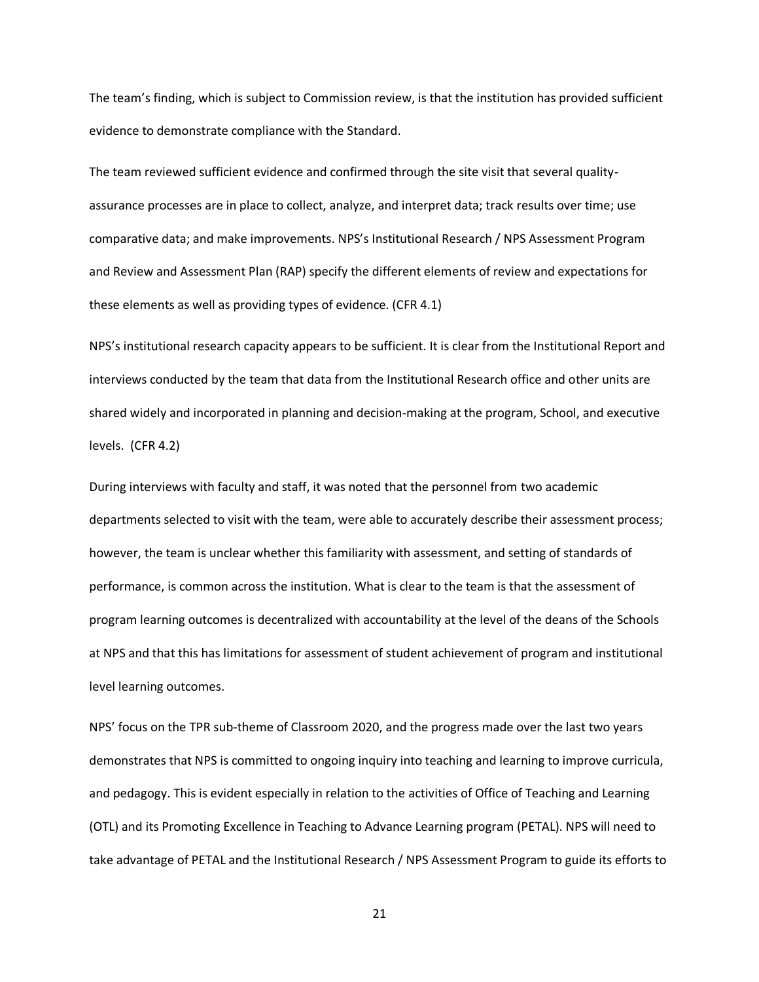The team's finding, which is subject to Commission review, is that the institution has provided sufficient evidence to demonstrate compliance with the Standard.

The team reviewed sufficient evidence and confirmed through the site visit that several qualityassurance processes are in place to collect, analyze, and interpret data; track results over time; use comparative data; and make improvements. NPS's Institutional Research / NPS Assessment Program and Review and Assessment Plan (RAP) specify the different elements of review and expectations for these elements as well as providing types of evidence. (CFR 4.1)

NPS's institutional research capacity appears to be sufficient. It is clear from the Institutional Report and interviews conducted by the team that data from the Institutional Research office and other units are shared widely and incorporated in planning and decision-making at the program, School, and executive levels. (CFR 4.2)

During interviews with faculty and staff, it was noted that the personnel from two academic departments selected to visit with the team, were able to accurately describe their assessment process; however, the team is unclear whether this familiarity with assessment, and setting of standards of performance, is common across the institution. What is clear to the team is that the assessment of program learning outcomes is decentralized with accountability at the level of the deans of the Schools at NPS and that this has limitations for assessment of student achievement of program and institutional level learning outcomes.

NPS' focus on the TPR sub-theme of Classroom 2020, and the progress made over the last two years demonstrates that NPS is committed to ongoing inquiry into teaching and learning to improve curricula, and pedagogy. This is evident especially in relation to the activities of Office of Teaching and Learning (OTL) and its Promoting Excellence in Teaching to Advance Learning program (PETAL). NPS will need to take advantage of PETAL and the Institutional Research / NPS Assessment Program to guide its efforts to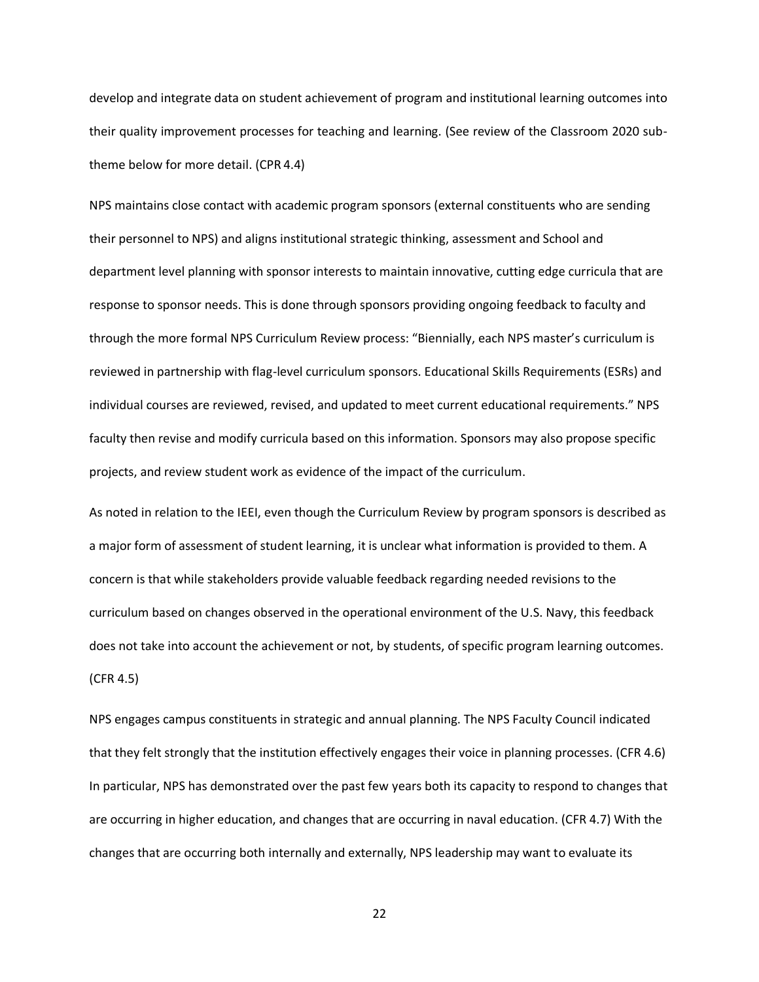develop and integrate data on student achievement of program and institutional learning outcomes into their quality improvement processes for teaching and learning. (See review of the Classroom 2020 subtheme below for more detail. (CPR 4.4)

NPS maintains close contact with academic program sponsors (external constituents who are sending their personnel to NPS) and aligns institutional strategic thinking, assessment and School and department level planning with sponsor interests to maintain innovative, cutting edge curricula that are response to sponsor needs. This is done through sponsors providing ongoing feedback to faculty and through the more formal NPS Curriculum Review process: "Biennially, each NPS master's curriculum is reviewed in partnership with flag-level curriculum sponsors. Educational Skills Requirements (ESRs) and individual courses are reviewed, revised, and updated to meet current educational requirements." NPS faculty then revise and modify curricula based on this information. Sponsors may also propose specific projects, and review student work as evidence of the impact of the curriculum.

As noted in relation to the IEEI, even though the Curriculum Review by program sponsors is described as a major form of assessment of student learning, it is unclear what information is provided to them. A concern is that while stakeholders provide valuable feedback regarding needed revisions to the curriculum based on changes observed in the operational environment of the U.S. Navy, this feedback does not take into account the achievement or not, by students, of specific program learning outcomes. (CFR 4.5)

NPS engages campus constituents in strategic and annual planning. The NPS Faculty Council indicated that they felt strongly that the institution effectively engages their voice in planning processes. (CFR 4.6) In particular, NPS has demonstrated over the past few years both its capacity to respond to changes that are occurring in higher education, and changes that are occurring in naval education. (CFR 4.7) With the changes that are occurring both internally and externally, NPS leadership may want to evaluate its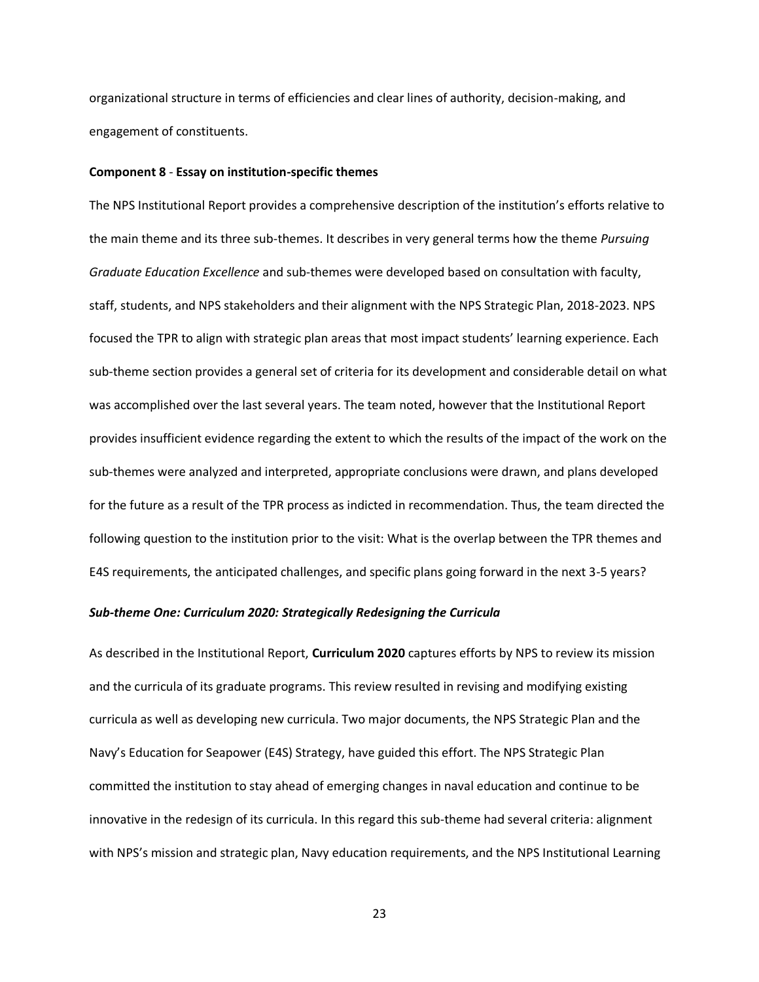organizational structure in terms of efficiencies and clear lines of authority, decision-making, and engagement of constituents.

#### **Component 8** - **Essay on institution-specific themes**

The NPS Institutional Report provides a comprehensive description of the institution's efforts relative to the main theme and its three sub-themes. It describes in very general terms how the theme *Pursuing Graduate Education Excellence* and sub-themes were developed based on consultation with faculty, staff, students, and NPS stakeholders and their alignment with the NPS Strategic Plan, 2018-2023. NPS focused the TPR to align with strategic plan areas that most impact students' learning experience. Each sub-theme section provides a general set of criteria for its development and considerable detail on what was accomplished over the last several years. The team noted, however that the Institutional Report provides insufficient evidence regarding the extent to which the results of the impact of the work on the sub-themes were analyzed and interpreted, appropriate conclusions were drawn, and plans developed for the future as a result of the TPR process as indicted in recommendation. Thus, the team directed the following question to the institution prior to the visit: What is the overlap between the TPR themes and E4S requirements, the anticipated challenges, and specific plans going forward in the next 3-5 years?

#### *Sub-theme One: Curriculum 2020: Strategically Redesigning the Curricula*

As described in the Institutional Report, **Curriculum 2020** captures efforts by NPS to review its mission and the curricula of its graduate programs. This review resulted in revising and modifying existing curricula as well as developing new curricula. Two major documents, the NPS Strategic Plan and the Navy's Education for Seapower (E4S) Strategy, have guided this effort. The NPS Strategic Plan committed the institution to stay ahead of emerging changes in naval education and continue to be innovative in the redesign of its curricula. In this regard this sub-theme had several criteria: alignment with NPS's mission and strategic plan, Navy education requirements, and the NPS Institutional Learning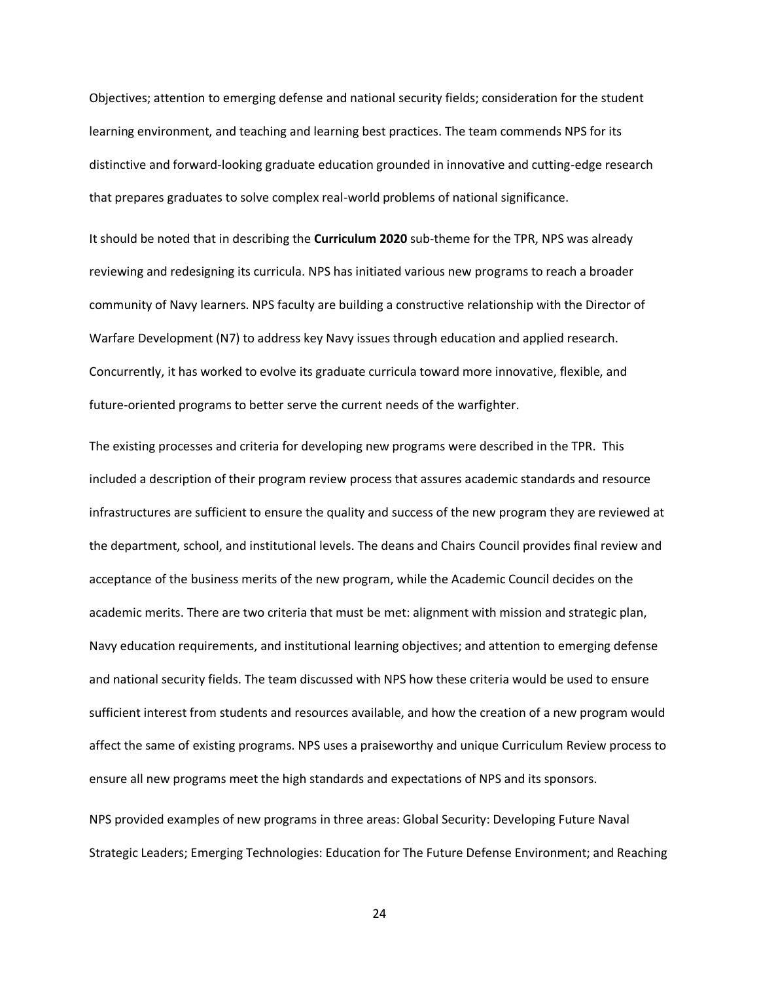Objectives; attention to emerging defense and national security fields; consideration for the student learning environment, and teaching and learning best practices. The team commends NPS for its distinctive and forward-looking graduate education grounded in innovative and cutting-edge research that prepares graduates to solve complex real-world problems of national significance.

It should be noted that in describing the **Curriculum 2020** sub-theme for the TPR, NPS was already reviewing and redesigning its curricula. NPS has initiated various new programs to reach a broader community of Navy learners. NPS faculty are building a constructive relationship with the Director of Warfare Development (N7) to address key Navy issues through education and applied research. Concurrently, it has worked to evolve its graduate curricula toward more innovative, flexible, and future-oriented programs to better serve the current needs of the warfighter.

The existing processes and criteria for developing new programs were described in the TPR. This included a description of their program review process that assures academic standards and resource infrastructures are sufficient to ensure the quality and success of the new program they are reviewed at the department, school, and institutional levels. The deans and Chairs Council provides final review and acceptance of the business merits of the new program, while the Academic Council decides on the academic merits. There are two criteria that must be met: alignment with mission and strategic plan, Navy education requirements, and institutional learning objectives; and attention to emerging defense and national security fields. The team discussed with NPS how these criteria would be used to ensure sufficient interest from students and resources available, and how the creation of a new program would affect the same of existing programs. NPS uses a praiseworthy and unique Curriculum Review process to ensure all new programs meet the high standards and expectations of NPS and its sponsors.

NPS provided examples of new programs in three areas: Global Security: Developing Future Naval Strategic Leaders; Emerging Technologies: Education for The Future Defense Environment; and Reaching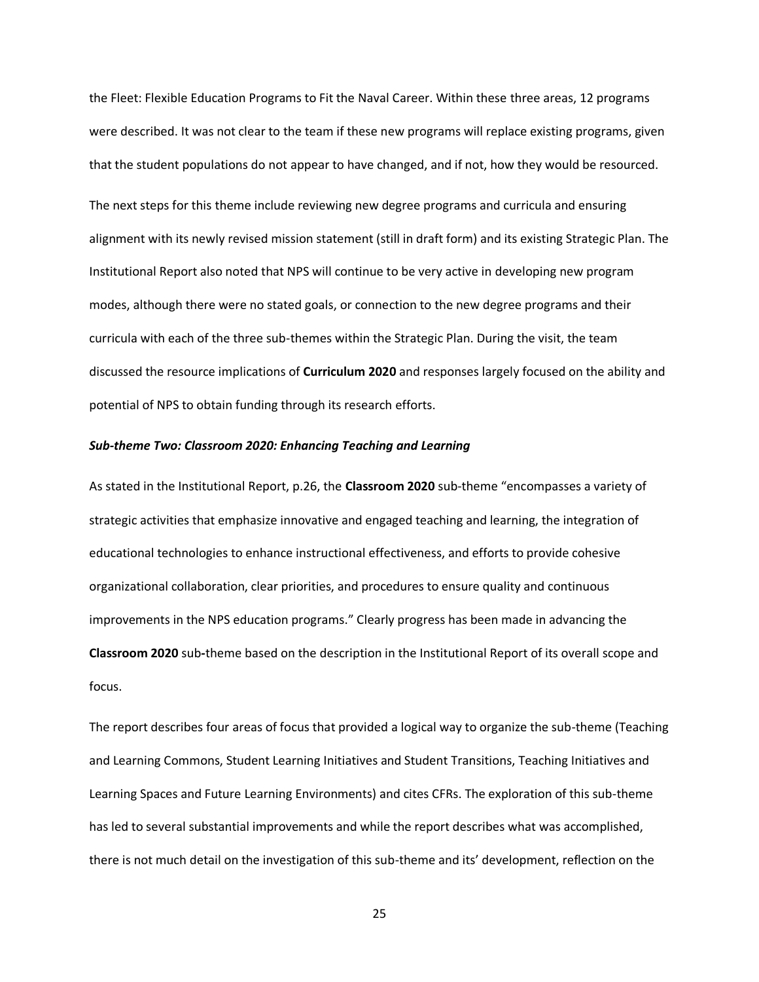the Fleet: Flexible Education Programs to Fit the Naval Career. Within these three areas, 12 programs were described. It was not clear to the team if these new programs will replace existing programs, given that the student populations do not appear to have changed, and if not, how they would be resourced. The next steps for this theme include reviewing new degree programs and curricula and ensuring alignment with its newly revised mission statement (still in draft form) and its existing Strategic Plan. The Institutional Report also noted that NPS will continue to be very active in developing new program modes, although there were no stated goals, or connection to the new degree programs and their curricula with each of the three sub-themes within the Strategic Plan. During the visit, the team discussed the resource implications of **Curriculum 2020** and responses largely focused on the ability and potential of NPS to obtain funding through its research efforts.

#### *Sub-theme Two: Classroom 2020: Enhancing Teaching and Learning*

As stated in the Institutional Report, p.26, the **Classroom 2020** sub-theme "encompasses a variety of strategic activities that emphasize innovative and engaged teaching and learning, the integration of educational technologies to enhance instructional effectiveness, and efforts to provide cohesive organizational collaboration, clear priorities, and procedures to ensure quality and continuous improvements in the NPS education programs." Clearly progress has been made in advancing the **Classroom 2020** sub*-*theme based on the description in the Institutional Report of its overall scope and focus.

The report describes four areas of focus that provided a logical way to organize the sub-theme (Teaching and Learning Commons, Student Learning Initiatives and Student Transitions, Teaching Initiatives and Learning Spaces and Future Learning Environments) and cites CFRs. The exploration of this sub-theme has led to several substantial improvements and while the report describes what was accomplished, there is not much detail on the investigation of this sub-theme and its' development, reflection on the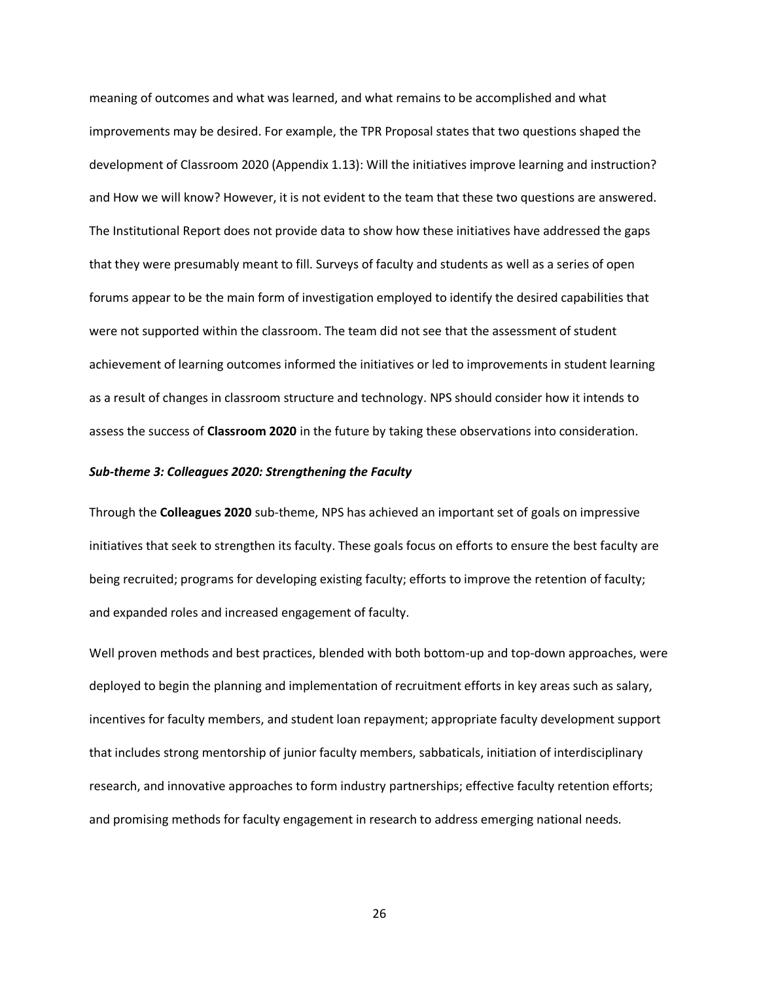meaning of outcomes and what was learned, and what remains to be accomplished and what improvements may be desired. For example, the TPR Proposal states that two questions shaped the development of Classroom 2020 (Appendix 1.13): Will the initiatives improve learning and instruction? and How we will know? However, it is not evident to the team that these two questions are answered. The Institutional Report does not provide data to show how these initiatives have addressed the gaps that they were presumably meant to fill. Surveys of faculty and students as well as a series of open forums appear to be the main form of investigation employed to identify the desired capabilities that were not supported within the classroom. The team did not see that the assessment of student achievement of learning outcomes informed the initiatives or led to improvements in student learning as a result of changes in classroom structure and technology. NPS should consider how it intends to assess the success of **Classroom 2020** in the future by taking these observations into consideration.

#### *Sub-theme 3: Colleagues 2020: Strengthening the Faculty*

Through the **Colleagues 2020** sub-theme, NPS has achieved an important set of goals on impressive initiatives that seek to strengthen its faculty. These goals focus on efforts to ensure the best faculty are being recruited; programs for developing existing faculty; efforts to improve the retention of faculty; and expanded roles and increased engagement of faculty.

Well proven methods and best practices, blended with both bottom-up and top-down approaches, were deployed to begin the planning and implementation of recruitment efforts in key areas such as salary, incentives for faculty members, and student loan repayment; appropriate faculty development support that includes strong mentorship of junior faculty members, sabbaticals, initiation of interdisciplinary research, and innovative approaches to form industry partnerships; effective faculty retention efforts; and promising methods for faculty engagement in research to address emerging national needs.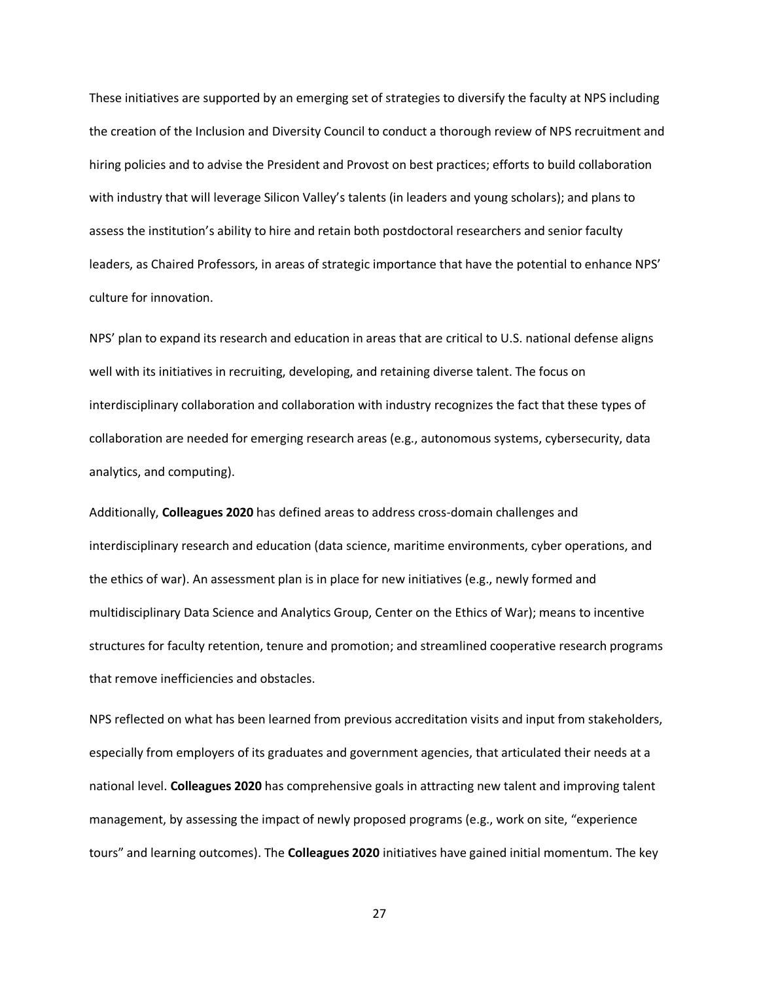These initiatives are supported by an emerging set of strategies to diversify the faculty at NPS including the creation of the Inclusion and Diversity Council to conduct a thorough review of NPS recruitment and hiring policies and to advise the President and Provost on best practices; efforts to build collaboration with industry that will leverage Silicon Valley's talents (in leaders and young scholars); and plans to assess the institution's ability to hire and retain both postdoctoral researchers and senior faculty leaders, as Chaired Professors, in areas of strategic importance that have the potential to enhance NPS' culture for innovation.

NPS' plan to expand its research and education in areas that are critical to U.S. national defense aligns well with its initiatives in recruiting, developing, and retaining diverse talent. The focus on interdisciplinary collaboration and collaboration with industry recognizes the fact that these types of collaboration are needed for emerging research areas (e.g., autonomous systems, cybersecurity, data analytics, and computing).

Additionally, **Colleagues 2020** has defined areas to address cross-domain challenges and interdisciplinary research and education (data science, maritime environments, cyber operations, and the ethics of war). An assessment plan is in place for new initiatives (e.g., newly formed and multidisciplinary Data Science and Analytics Group, Center on the Ethics of War); means to incentive structures for faculty retention, tenure and promotion; and streamlined cooperative research programs that remove inefficiencies and obstacles.

NPS reflected on what has been learned from previous accreditation visits and input from stakeholders, especially from employers of its graduates and government agencies, that articulated their needs at a national level. **Colleagues 2020** has comprehensive goals in attracting new talent and improving talent management, by assessing the impact of newly proposed programs (e.g., work on site, "experience tours" and learning outcomes). The **Colleagues 2020** initiatives have gained initial momentum. The key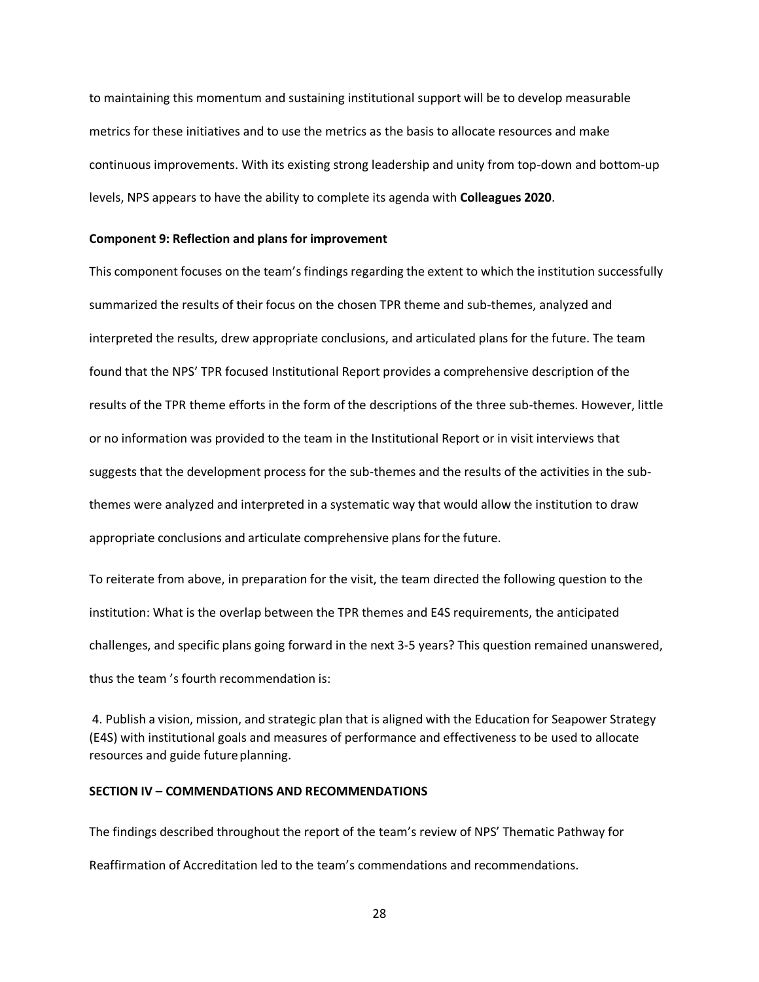to maintaining this momentum and sustaining institutional support will be to develop measurable metrics for these initiatives and to use the metrics as the basis to allocate resources and make continuous improvements. With its existing strong leadership and unity from top-down and bottom-up levels, NPS appears to have the ability to complete its agenda with **Colleagues 2020**.

#### **Component 9: Reflection and plans for improvement**

This component focuses on the team's findings regarding the extent to which the institution successfully summarized the results of their focus on the chosen TPR theme and sub-themes, analyzed and interpreted the results, drew appropriate conclusions, and articulated plans for the future. The team found that the NPS' TPR focused Institutional Report provides a comprehensive description of the results of the TPR theme efforts in the form of the descriptions of the three sub-themes. However, little or no information was provided to the team in the Institutional Report or in visit interviews that suggests that the development process for the sub-themes and the results of the activities in the subthemes were analyzed and interpreted in a systematic way that would allow the institution to draw appropriate conclusions and articulate comprehensive plans for the future.

To reiterate from above, in preparation for the visit, the team directed the following question to the institution: What is the overlap between the TPR themes and E4S requirements, the anticipated challenges, and specific plans going forward in the next 3-5 years? This question remained unanswered, thus the team 's fourth recommendation is:

4. Publish a vision, mission, and strategic plan that is aligned with the Education for Seapower Strategy (E4S) with institutional goals and measures of performance and effectiveness to be used to allocate resources and guide future planning.

#### **SECTION IV – COMMENDATIONS AND RECOMMENDATIONS**

The findings described throughout the report of the team's review of NPS' Thematic Pathway for Reaffirmation of Accreditation led to the team's commendations and recommendations.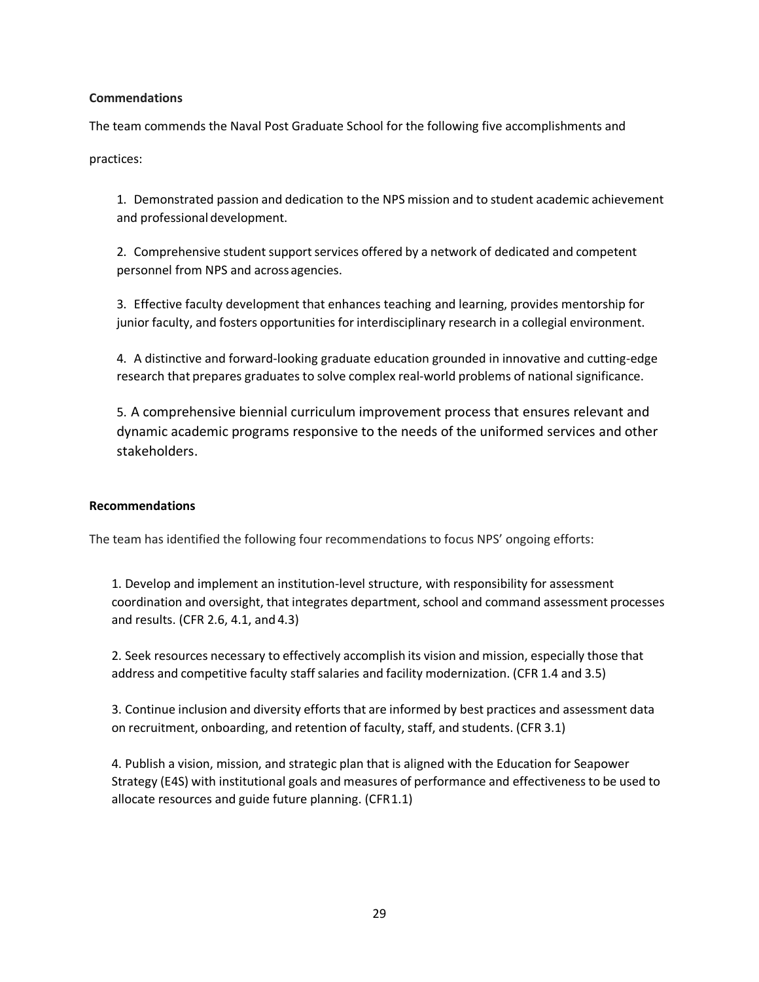### **Commendations**

The team commends the Naval Post Graduate School for the following five accomplishments and

practices:

1. Demonstrated passion and dedication to the NPS mission and to student academic achievement and professional development.

2. Comprehensive student support services offered by a network of dedicated and competent personnel from NPS and acrossagencies.

3. Effective faculty development that enhances teaching and learning, provides mentorship for junior faculty, and fosters opportunities for interdisciplinary research in a collegial environment.

4. A distinctive and forward-looking graduate education grounded in innovative and cutting-edge research that prepares graduates to solve complex real-world problems of national significance.

5. A comprehensive biennial curriculum improvement process that ensures relevant and dynamic academic programs responsive to the needs of the uniformed services and other stakeholders.

# **Recommendations**

The team has identified the following four recommendations to focus NPS' ongoing efforts:

1. Develop and implement an institution-level structure, with responsibility for assessment coordination and oversight, that integrates department, school and command assessment processes and results. (CFR 2.6, 4.1, and 4.3)

2. Seek resources necessary to effectively accomplish its vision and mission, especially those that address and competitive faculty staffsalaries and facility modernization. (CFR 1.4 and 3.5)

3. Continue inclusion and diversity efforts that are informed by best practices and assessment data on recruitment, onboarding, and retention of faculty, staff, and students. (CFR 3.1)

4. Publish a vision, mission, and strategic plan that is aligned with the Education for Seapower Strategy (E4S) with institutional goals and measures of performance and effectiveness to be used to allocate resources and guide future planning. (CFR1.1)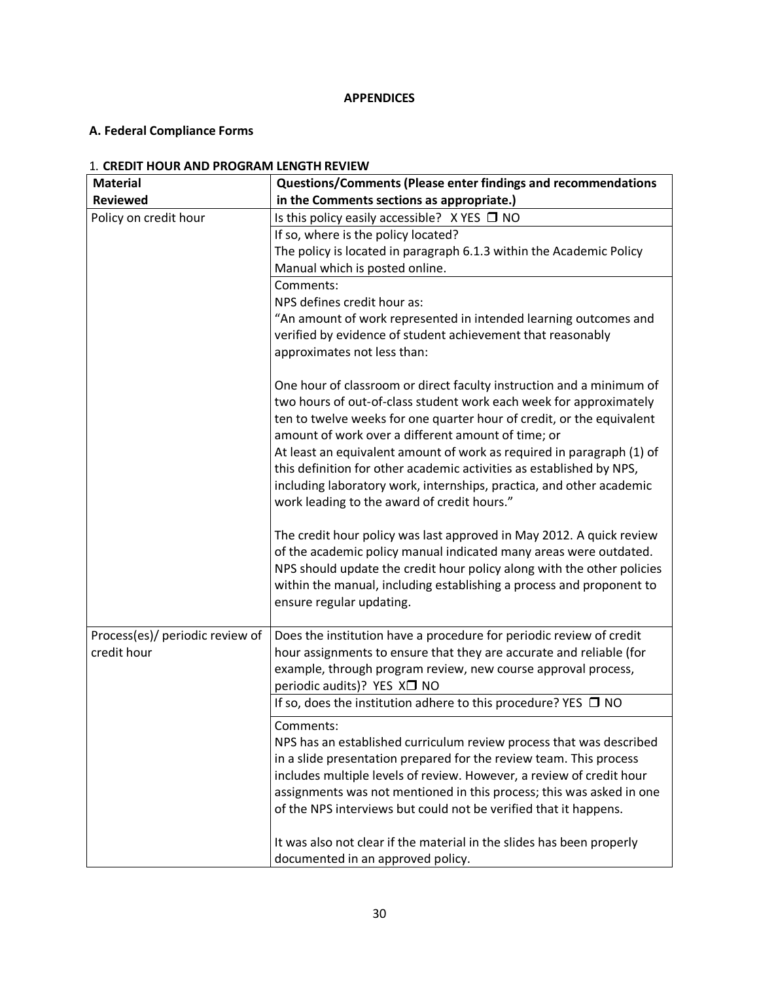# **APPENDICES**

# **A. Federal Compliance Forms**

| <b>Material</b>                                | CREDIT HOOR AND FROGRAM ELIVOTH REVIEV<br>Questions/Comments (Please enter findings and recommendations                                                                                                                                                                                                                                                                                                                                                                                                                                           |  |  |
|------------------------------------------------|---------------------------------------------------------------------------------------------------------------------------------------------------------------------------------------------------------------------------------------------------------------------------------------------------------------------------------------------------------------------------------------------------------------------------------------------------------------------------------------------------------------------------------------------------|--|--|
| <b>Reviewed</b>                                | in the Comments sections as appropriate.)                                                                                                                                                                                                                                                                                                                                                                                                                                                                                                         |  |  |
| Policy on credit hour                          | Is this policy easily accessible? $X$ YES $\Box$ NO                                                                                                                                                                                                                                                                                                                                                                                                                                                                                               |  |  |
|                                                | If so, where is the policy located?                                                                                                                                                                                                                                                                                                                                                                                                                                                                                                               |  |  |
|                                                | The policy is located in paragraph 6.1.3 within the Academic Policy                                                                                                                                                                                                                                                                                                                                                                                                                                                                               |  |  |
|                                                | Manual which is posted online.                                                                                                                                                                                                                                                                                                                                                                                                                                                                                                                    |  |  |
|                                                | Comments:                                                                                                                                                                                                                                                                                                                                                                                                                                                                                                                                         |  |  |
|                                                | NPS defines credit hour as:                                                                                                                                                                                                                                                                                                                                                                                                                                                                                                                       |  |  |
|                                                | "An amount of work represented in intended learning outcomes and<br>verified by evidence of student achievement that reasonably                                                                                                                                                                                                                                                                                                                                                                                                                   |  |  |
|                                                | approximates not less than:                                                                                                                                                                                                                                                                                                                                                                                                                                                                                                                       |  |  |
|                                                | One hour of classroom or direct faculty instruction and a minimum of<br>two hours of out-of-class student work each week for approximately<br>ten to twelve weeks for one quarter hour of credit, or the equivalent<br>amount of work over a different amount of time; or<br>At least an equivalent amount of work as required in paragraph (1) of<br>this definition for other academic activities as established by NPS,<br>including laboratory work, internships, practica, and other academic<br>work leading to the award of credit hours." |  |  |
|                                                | The credit hour policy was last approved in May 2012. A quick review<br>of the academic policy manual indicated many areas were outdated.<br>NPS should update the credit hour policy along with the other policies<br>within the manual, including establishing a process and proponent to<br>ensure regular updating.                                                                                                                                                                                                                           |  |  |
| Process(es)/ periodic review of<br>credit hour | Does the institution have a procedure for periodic review of credit<br>hour assignments to ensure that they are accurate and reliable (for<br>example, through program review, new course approval process,<br>periodic audits)? YES X□ NO                                                                                                                                                                                                                                                                                                        |  |  |
|                                                | If so, does the institution adhere to this procedure? YES $\Box$ NO                                                                                                                                                                                                                                                                                                                                                                                                                                                                               |  |  |
|                                                | Comments:<br>NPS has an established curriculum review process that was described<br>in a slide presentation prepared for the review team. This process<br>includes multiple levels of review. However, a review of credit hour<br>assignments was not mentioned in this process; this was asked in one<br>of the NPS interviews but could not be verified that it happens.                                                                                                                                                                        |  |  |
|                                                | It was also not clear if the material in the slides has been properly<br>documented in an approved policy.                                                                                                                                                                                                                                                                                                                                                                                                                                        |  |  |

# 1. **CREDIT HOUR AND PROGRAM LENGTH REVIEW**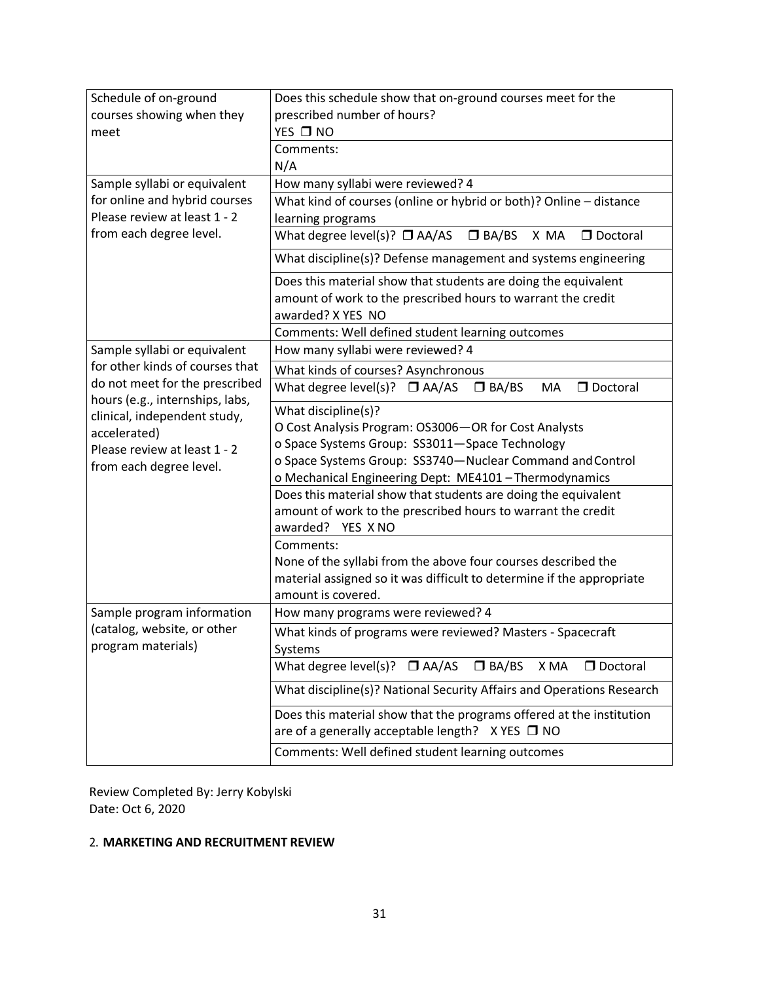| Schedule of on-ground                                             | Does this schedule show that on-ground courses meet for the                                 |  |  |
|-------------------------------------------------------------------|---------------------------------------------------------------------------------------------|--|--|
| courses showing when they                                         | prescribed number of hours?                                                                 |  |  |
| meet                                                              | YES □ NO                                                                                    |  |  |
|                                                                   | Comments:                                                                                   |  |  |
|                                                                   | N/A                                                                                         |  |  |
| Sample syllabi or equivalent                                      | How many syllabi were reviewed? 4                                                           |  |  |
| for online and hybrid courses                                     | What kind of courses (online or hybrid or both)? Online - distance                          |  |  |
| Please review at least 1 - 2                                      | learning programs                                                                           |  |  |
| from each degree level.                                           | What degree level(s)? $\Box$ AA/AS<br>$\Box$ BA/BS<br>X MA<br>D Doctoral                    |  |  |
|                                                                   | What discipline(s)? Defense management and systems engineering                              |  |  |
|                                                                   | Does this material show that students are doing the equivalent                              |  |  |
|                                                                   | amount of work to the prescribed hours to warrant the credit                                |  |  |
|                                                                   | awarded? X YES NO                                                                           |  |  |
|                                                                   | Comments: Well defined student learning outcomes                                            |  |  |
| Sample syllabi or equivalent<br>for other kinds of courses that   | How many syllabi were reviewed? 4                                                           |  |  |
|                                                                   | What kinds of courses? Asynchronous                                                         |  |  |
| do not meet for the prescribed<br>hours (e.g., internships, labs, | What degree level(s)? $\Box$ AA/AS<br>$\Box$ BA/BS<br>D Doctoral<br>MA                      |  |  |
| clinical, independent study,                                      | What discipline(s)?                                                                         |  |  |
| accelerated)                                                      | O Cost Analysis Program: OS3006-OR for Cost Analysts                                        |  |  |
| Please review at least 1 - 2                                      | o Space Systems Group: SS3011-Space Technology                                              |  |  |
| from each degree level.                                           | o Space Systems Group: SS3740-Nuclear Command and Control                                   |  |  |
|                                                                   | o Mechanical Engineering Dept: ME4101 - Thermodynamics                                      |  |  |
|                                                                   | Does this material show that students are doing the equivalent                              |  |  |
|                                                                   | amount of work to the prescribed hours to warrant the credit                                |  |  |
|                                                                   | awarded? YES X NO                                                                           |  |  |
|                                                                   | Comments:                                                                                   |  |  |
|                                                                   | None of the syllabi from the above four courses described the                               |  |  |
|                                                                   | material assigned so it was difficult to determine if the appropriate<br>amount is covered. |  |  |
| Sample program information                                        |                                                                                             |  |  |
| (catalog, website, or other                                       | How many programs were reviewed? 4                                                          |  |  |
| program materials)                                                | What kinds of programs were reviewed? Masters - Spacecraft                                  |  |  |
|                                                                   | Systems                                                                                     |  |  |
|                                                                   | What degree level(s)? $\Box$ AA/AS $\Box$ BA/BS<br>X MA<br>D Doctoral                       |  |  |
|                                                                   | What discipline(s)? National Security Affairs and Operations Research                       |  |  |
|                                                                   | Does this material show that the programs offered at the institution                        |  |  |
|                                                                   | are of a generally acceptable length? X YES □ NO                                            |  |  |
|                                                                   | Comments: Well defined student learning outcomes                                            |  |  |

Review Completed By: Jerry Kobylski Date: Oct 6, 2020

# 2. **MARKETING AND RECRUITMENT REVIEW**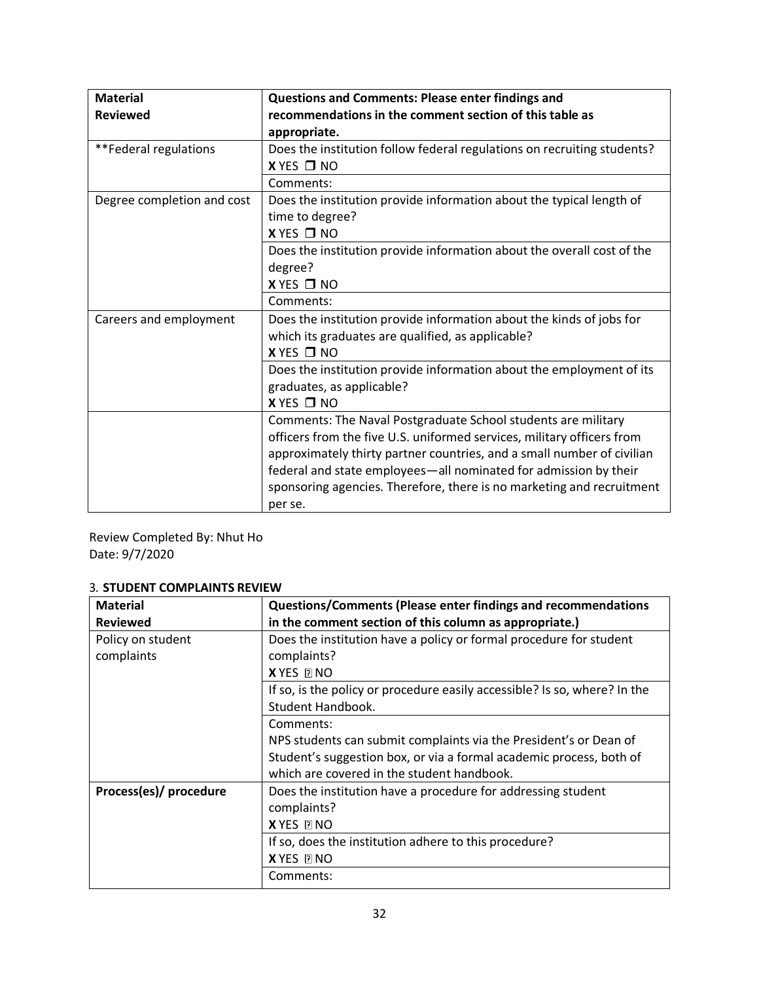| <b>Material</b>            | Questions and Comments: Please enter findings and                       |  |  |
|----------------------------|-------------------------------------------------------------------------|--|--|
| <b>Reviewed</b>            | recommendations in the comment section of this table as                 |  |  |
|                            | appropriate.                                                            |  |  |
| **Federal regulations      | Does the institution follow federal regulations on recruiting students? |  |  |
|                            | $X$ YES $\Box$ NO                                                       |  |  |
|                            | Comments:                                                               |  |  |
| Degree completion and cost | Does the institution provide information about the typical length of    |  |  |
|                            | time to degree?                                                         |  |  |
|                            | X YES □ NO                                                              |  |  |
|                            | Does the institution provide information about the overall cost of the  |  |  |
|                            | degree?                                                                 |  |  |
|                            | $X$ YES $\Box$ NO                                                       |  |  |
|                            | Comments:                                                               |  |  |
| Careers and employment     | Does the institution provide information about the kinds of jobs for    |  |  |
|                            | which its graduates are qualified, as applicable?                       |  |  |
|                            | $X$ YES $\Box$ NO                                                       |  |  |
|                            | Does the institution provide information about the employment of its    |  |  |
|                            | graduates, as applicable?                                               |  |  |
|                            | $X$ YES $\Box$ NO                                                       |  |  |
|                            | Comments: The Naval Postgraduate School students are military           |  |  |
|                            | officers from the five U.S. uniformed services, military officers from  |  |  |
|                            | approximately thirty partner countries, and a small number of civilian  |  |  |
|                            | federal and state employees-all nominated for admission by their        |  |  |
|                            | sponsoring agencies. Therefore, there is no marketing and recruitment   |  |  |
|                            | per se.                                                                 |  |  |

Review Completed By: Nhut Ho Date: 9/7/2020

# 3. **STUDENT COMPLAINTS REVIEW**

| <b>Material</b>                 | <b>Questions/Comments (Please enter findings and recommendations</b>                                                                                                                                |  |
|---------------------------------|-----------------------------------------------------------------------------------------------------------------------------------------------------------------------------------------------------|--|
| <b>Reviewed</b>                 | in the comment section of this column as appropriate.)                                                                                                                                              |  |
| Policy on student<br>complaints | Does the institution have a policy or formal procedure for student<br>complaints?<br><b>XYES RNO</b>                                                                                                |  |
|                                 | If so, is the policy or procedure easily accessible? Is so, where? In the<br>Student Handbook.                                                                                                      |  |
|                                 | Comments:<br>NPS students can submit complaints via the President's or Dean of<br>Student's suggestion box, or via a formal academic process, both of<br>which are covered in the student handbook. |  |
| Process(es)/ procedure          | Does the institution have a procedure for addressing student<br>complaints?<br><b>XYES ENO</b>                                                                                                      |  |
|                                 | If so, does the institution adhere to this procedure?<br><b>XYES DNO</b>                                                                                                                            |  |
|                                 | Comments:                                                                                                                                                                                           |  |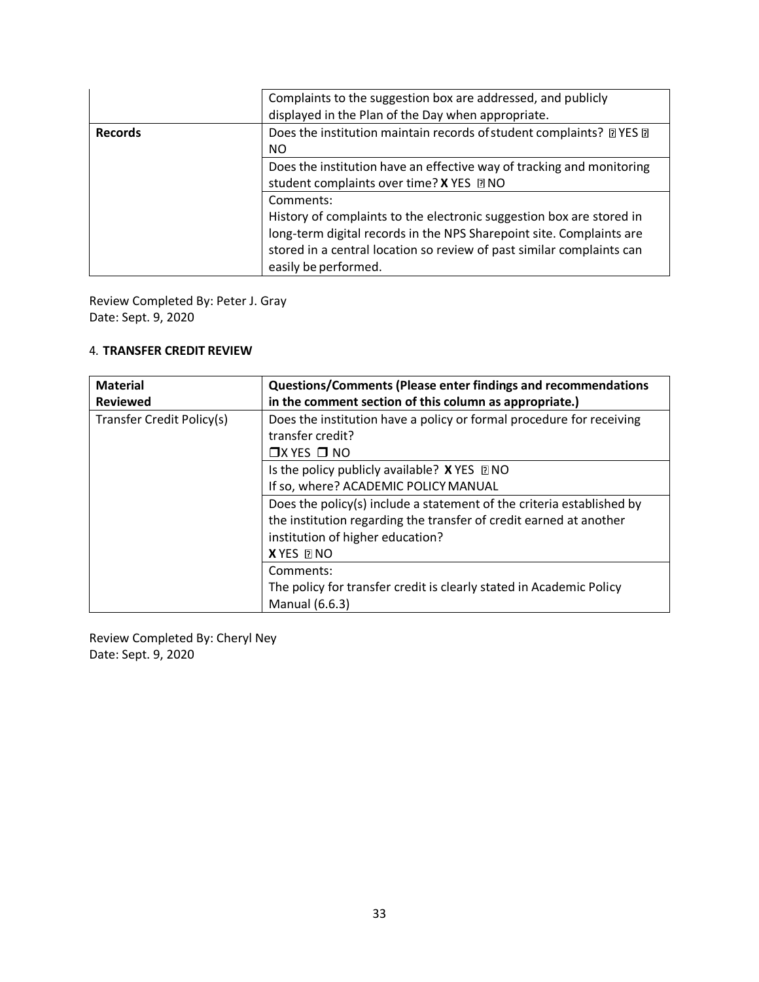|                | Complaints to the suggestion box are addressed, and publicly<br>displayed in the Plan of the Day when appropriate.                                                                                                                                         |
|----------------|------------------------------------------------------------------------------------------------------------------------------------------------------------------------------------------------------------------------------------------------------------|
| <b>Records</b> | Does the institution maintain records of student complaints? 2 YES 2<br><b>NO</b>                                                                                                                                                                          |
|                | Does the institution have an effective way of tracking and monitoring<br>student complaints over time? X YES D NO                                                                                                                                          |
|                | Comments:<br>History of complaints to the electronic suggestion box are stored in<br>long-term digital records in the NPS Sharepoint site. Complaints are<br>stored in a central location so review of past similar complaints can<br>easily be performed. |

Review Completed By: Peter J. Gray Date: Sept. 9, 2020

# 4. **TRANSFER CREDIT REVIEW**

| <b>Material</b><br><b>Reviewed</b> | <b>Questions/Comments (Please enter findings and recommendations</b><br>in the comment section of this column as appropriate.)                                                  |
|------------------------------------|---------------------------------------------------------------------------------------------------------------------------------------------------------------------------------|
| Transfer Credit Policy(s)          | Does the institution have a policy or formal procedure for receiving<br>transfer credit?<br>$\Box$ X YES $\Box$ NO                                                              |
|                                    | Is the policy publicly available? $X$ YES $\Box$ NO<br>If so, where? ACADEMIC POLICY MANUAL                                                                                     |
|                                    | Does the policy(s) include a statement of the criteria established by<br>the institution regarding the transfer of credit earned at another<br>institution of higher education? |
|                                    | <b>XYES DNO</b><br>Comments:                                                                                                                                                    |
|                                    | The policy for transfer credit is clearly stated in Academic Policy<br><b>Manual (6.6.3)</b>                                                                                    |

Review Completed By: Cheryl Ney Date: Sept. 9, 2020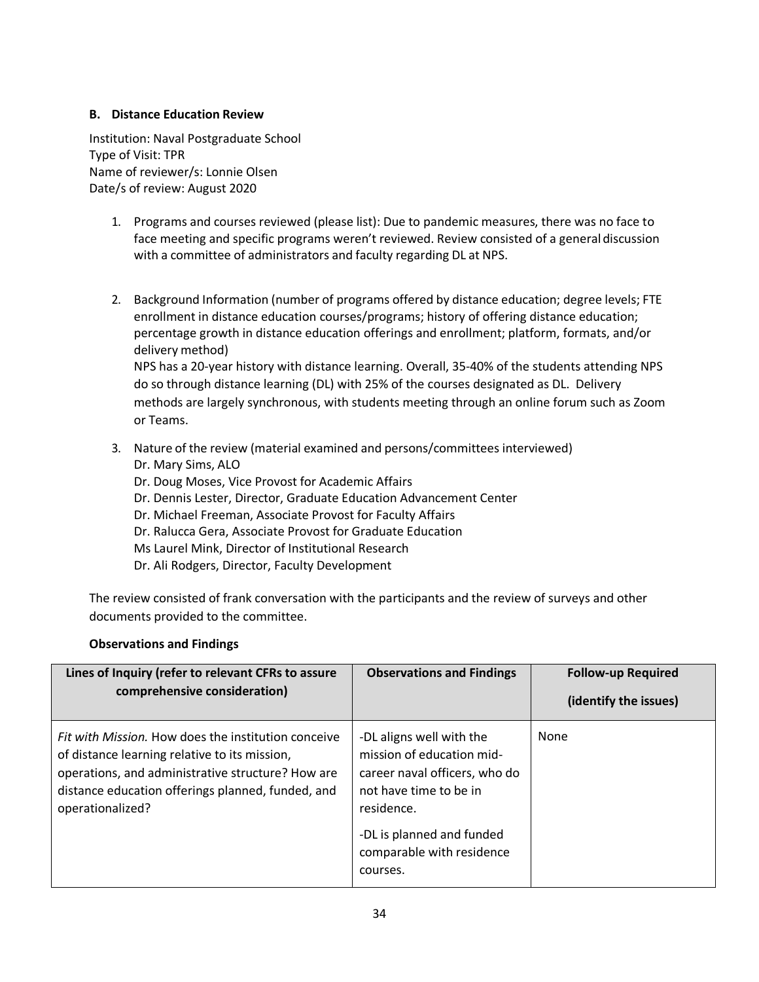# **B. Distance Education Review**

Institution: Naval Postgraduate School Type of Visit: TPR Name of reviewer/s: Lonnie Olsen Date/s of review: August 2020

- 1. Programs and courses reviewed (please list): Due to pandemic measures, there was no face to face meeting and specific programs weren't reviewed. Review consisted of a general discussion with a committee of administrators and faculty regarding DL at NPS.
- 2. Background Information (number of programs offered by distance education; degree levels; FTE enrollment in distance education courses/programs; history of offering distance education; percentage growth in distance education offerings and enrollment; platform, formats, and/or delivery method)

NPS has a 20-year history with distance learning. Overall, 35-40% of the students attending NPS do so through distance learning (DL) with 25% of the courses designated as DL. Delivery methods are largely synchronous, with students meeting through an online forum such as Zoom or Teams.

- 3. Nature of the review (material examined and persons/committees interviewed) Dr. Mary Sims, ALO
	- Dr. Doug Moses, Vice Provost for Academic Affairs
	- Dr. Dennis Lester, Director, Graduate Education Advancement Center
	- Dr. Michael Freeman, Associate Provost for Faculty Affairs
	- Dr. Ralucca Gera, Associate Provost for Graduate Education
	- Ms Laurel Mink, Director of Institutional Research
	- Dr. Ali Rodgers, Director, Faculty Development

The review consisted of frank conversation with the participants and the review of surveys and other documents provided to the committee.

# **Observations and Findings**

| Lines of Inquiry (refer to relevant CFRs to assure<br>comprehensive consideration)                                                                                                                                                 | <b>Observations and Findings</b>                                                                                                                                                                     | <b>Follow-up Required</b><br>(identify the issues) |
|------------------------------------------------------------------------------------------------------------------------------------------------------------------------------------------------------------------------------------|------------------------------------------------------------------------------------------------------------------------------------------------------------------------------------------------------|----------------------------------------------------|
| Fit with Mission. How does the institution conceive<br>of distance learning relative to its mission,<br>operations, and administrative structure? How are<br>distance education offerings planned, funded, and<br>operationalized? | -DL aligns well with the<br>mission of education mid-<br>career naval officers, who do<br>not have time to be in<br>residence.<br>-DL is planned and funded<br>comparable with residence<br>courses. | None                                               |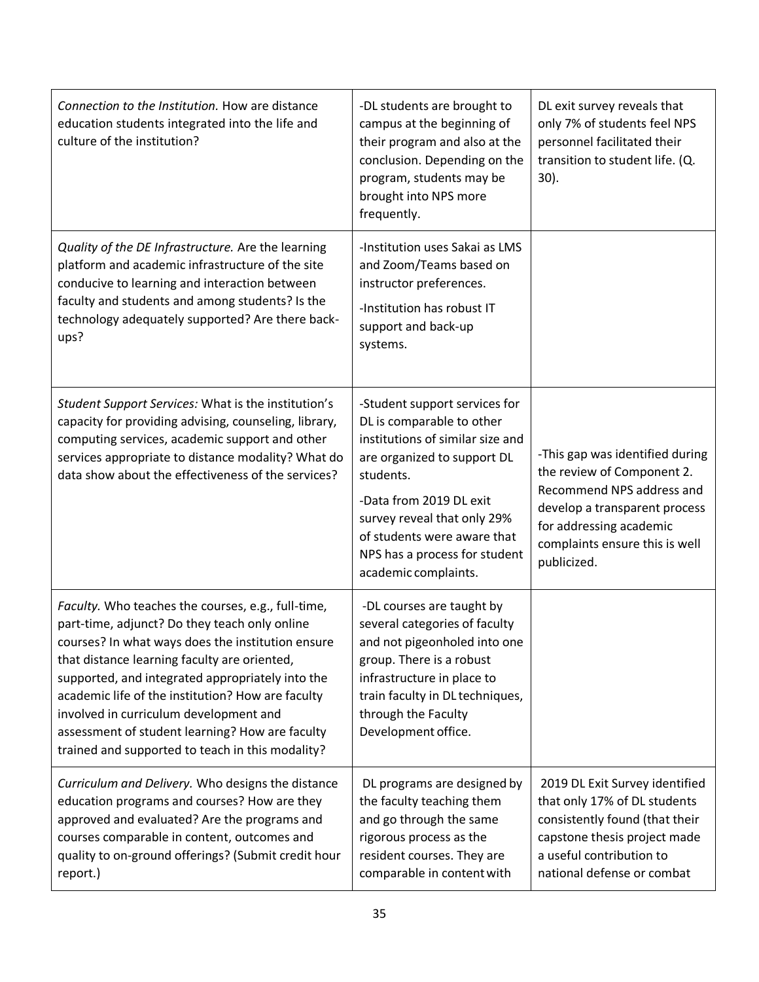| Connection to the Institution. How are distance<br>education students integrated into the life and<br>culture of the institution?                                                                                                                                                                                                                                                                                                                                  | -DL students are brought to<br>campus at the beginning of<br>their program and also at the<br>conclusion. Depending on the<br>program, students may be<br>brought into NPS more<br>frequently.                                                                                               | DL exit survey reveals that<br>only 7% of students feel NPS<br>personnel facilitated their<br>transition to student life. (Q.<br>$30$ ).                                                                |
|--------------------------------------------------------------------------------------------------------------------------------------------------------------------------------------------------------------------------------------------------------------------------------------------------------------------------------------------------------------------------------------------------------------------------------------------------------------------|----------------------------------------------------------------------------------------------------------------------------------------------------------------------------------------------------------------------------------------------------------------------------------------------|---------------------------------------------------------------------------------------------------------------------------------------------------------------------------------------------------------|
| Quality of the DE Infrastructure. Are the learning<br>platform and academic infrastructure of the site<br>conducive to learning and interaction between<br>faculty and students and among students? Is the<br>technology adequately supported? Are there back-<br>ups?                                                                                                                                                                                             | -Institution uses Sakai as LMS<br>and Zoom/Teams based on<br>instructor preferences.<br>-Institution has robust IT<br>support and back-up<br>systems.                                                                                                                                        |                                                                                                                                                                                                         |
| Student Support Services: What is the institution's<br>capacity for providing advising, counseling, library,<br>computing services, academic support and other<br>services appropriate to distance modality? What do<br>data show about the effectiveness of the services?                                                                                                                                                                                         | -Student support services for<br>DL is comparable to other<br>institutions of similar size and<br>are organized to support DL<br>students.<br>-Data from 2019 DL exit<br>survey reveal that only 29%<br>of students were aware that<br>NPS has a process for student<br>academic complaints. | -This gap was identified during<br>the review of Component 2.<br>Recommend NPS address and<br>develop a transparent process<br>for addressing academic<br>complaints ensure this is well<br>publicized. |
| Faculty. Who teaches the courses, e.g., full-time,<br>part-time, adjunct? Do they teach only online<br>courses? In what ways does the institution ensure<br>that distance learning faculty are oriented,<br>supported, and integrated appropriately into the<br>academic life of the institution? How are faculty<br>involved in curriculum development and<br>assessment of student learning? How are faculty<br>trained and supported to teach in this modality? | -DL courses are taught by<br>several categories of faculty<br>and not pigeonholed into one<br>group. There is a robust<br>infrastructure in place to<br>train faculty in DL techniques,<br>through the Faculty<br>Development office.                                                        |                                                                                                                                                                                                         |
| Curriculum and Delivery. Who designs the distance<br>education programs and courses? How are they<br>approved and evaluated? Are the programs and<br>courses comparable in content, outcomes and<br>quality to on-ground offerings? (Submit credit hour<br>report.)                                                                                                                                                                                                | DL programs are designed by<br>the faculty teaching them<br>and go through the same<br>rigorous process as the<br>resident courses. They are<br>comparable in content with                                                                                                                   | 2019 DL Exit Survey identified<br>that only 17% of DL students<br>consistently found (that their<br>capstone thesis project made<br>a useful contribution to<br>national defense or combat              |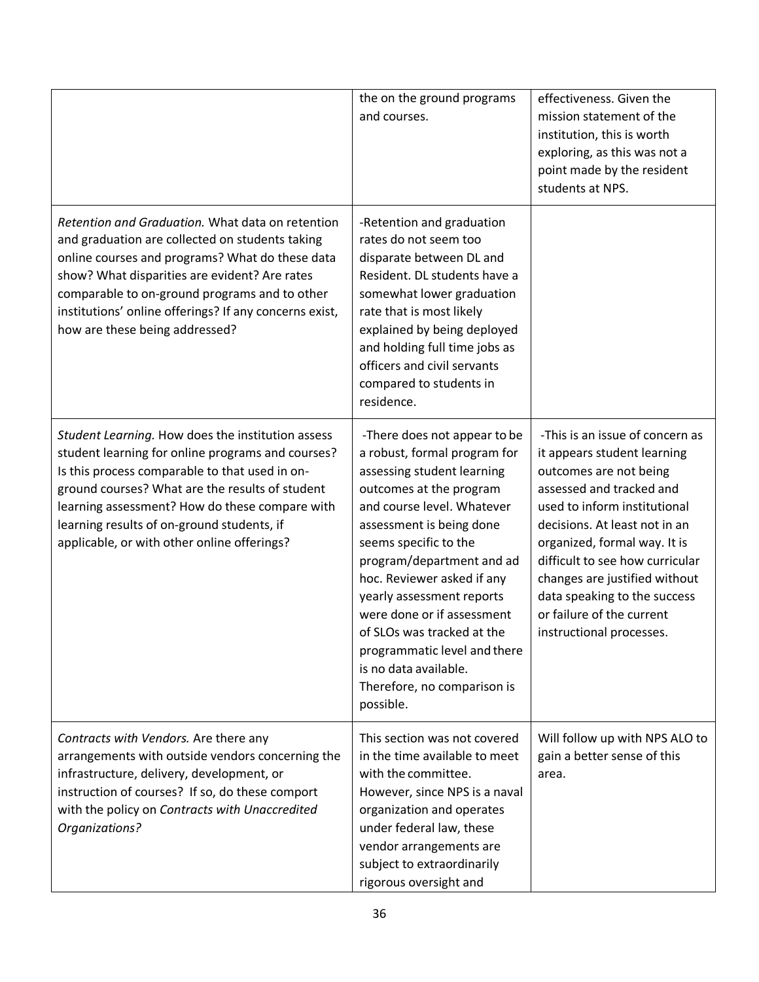|                                                                                                                                                                                                                                                                                                                                                            | the on the ground programs<br>and courses.                                                                                                                                                                                                                                                                                                                                                                                                                        | effectiveness. Given the<br>mission statement of the<br>institution, this is worth<br>exploring, as this was not a<br>point made by the resident<br>students at NPS.                                                                                                                                                                                                               |
|------------------------------------------------------------------------------------------------------------------------------------------------------------------------------------------------------------------------------------------------------------------------------------------------------------------------------------------------------------|-------------------------------------------------------------------------------------------------------------------------------------------------------------------------------------------------------------------------------------------------------------------------------------------------------------------------------------------------------------------------------------------------------------------------------------------------------------------|------------------------------------------------------------------------------------------------------------------------------------------------------------------------------------------------------------------------------------------------------------------------------------------------------------------------------------------------------------------------------------|
| Retention and Graduation. What data on retention<br>and graduation are collected on students taking<br>online courses and programs? What do these data<br>show? What disparities are evident? Are rates<br>comparable to on-ground programs and to other<br>institutions' online offerings? If any concerns exist,<br>how are these being addressed?       | -Retention and graduation<br>rates do not seem too<br>disparate between DL and<br>Resident. DL students have a<br>somewhat lower graduation<br>rate that is most likely<br>explained by being deployed<br>and holding full time jobs as<br>officers and civil servants<br>compared to students in<br>residence.                                                                                                                                                   |                                                                                                                                                                                                                                                                                                                                                                                    |
| Student Learning. How does the institution assess<br>student learning for online programs and courses?<br>Is this process comparable to that used in on-<br>ground courses? What are the results of student<br>learning assessment? How do these compare with<br>learning results of on-ground students, if<br>applicable, or with other online offerings? | -There does not appear to be<br>a robust, formal program for<br>assessing student learning<br>outcomes at the program<br>and course level. Whatever<br>assessment is being done<br>seems specific to the<br>program/department and ad<br>hoc. Reviewer asked if any<br>yearly assessment reports<br>were done or if assessment<br>of SLOs was tracked at the<br>programmatic level and there<br>is no data available.<br>Therefore, no comparison is<br>possible. | -This is an issue of concern as<br>it appears student learning<br>outcomes are not being<br>assessed and tracked and<br>used to inform institutional<br>decisions. At least not in an<br>organized, formal way. It is<br>difficult to see how curricular<br>changes are justified without<br>data speaking to the success<br>or failure of the current<br>instructional processes. |
| Contracts with Vendors. Are there any<br>arrangements with outside vendors concerning the<br>infrastructure, delivery, development, or<br>instruction of courses? If so, do these comport<br>with the policy on Contracts with Unaccredited<br>Organizations?                                                                                              | This section was not covered<br>in the time available to meet<br>with the committee.<br>However, since NPS is a naval<br>organization and operates<br>under federal law, these<br>vendor arrangements are<br>subject to extraordinarily<br>rigorous oversight and                                                                                                                                                                                                 | Will follow up with NPS ALO to<br>gain a better sense of this<br>area.                                                                                                                                                                                                                                                                                                             |